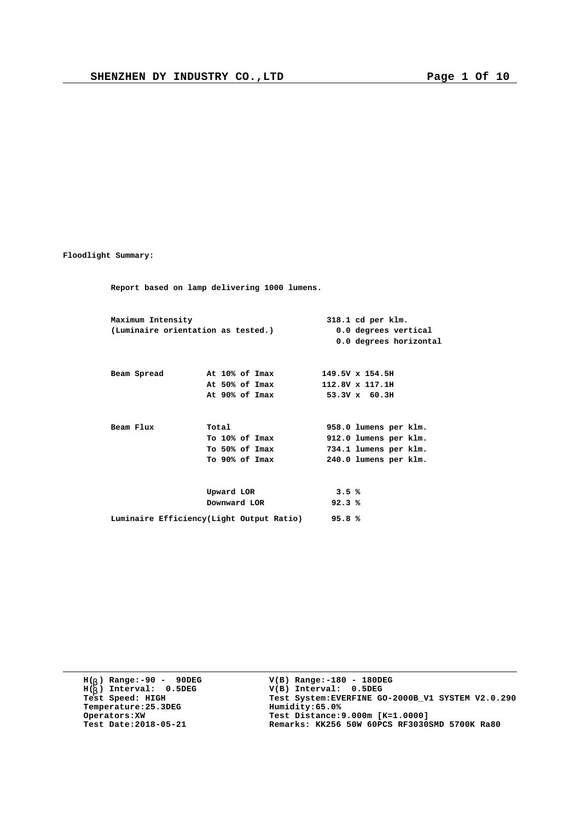**Floodlight Summary:**

**Report based on lamp delivering 1000 lumens. Maximum Intensity 318.1 cd per klm. (Luminaire orientation as tested.) 0.0 degrees vertical 0.0 degrees horizontal Beam Spread At 10% of Imax 149.5V x 154.5H At 50% of Imax 112.8V x 117.1H At 90% of Imax 53.3V x 60.3H Beam Flux 10tal Proper Flux Total 958.0 lumens per klm.**<br>**To 10% of Imax 912.0 lumens per klm. To 10% of Imax 912.0 lumens per klm. To 50% of Imax 734.1 lumens per klm. To 90% of Imax 240.0 lumens per klm. Upward LOR 3.5 % Downward LOR 92.3 % Luminaire Efficiency(Light Output Ratio) 95.8 %**

**H( ) Range:-90 - 90DEG** H(<sub>b</sub>) Range:-90 - 90DE<br>H(<sub>b</sub>) Interval: 0.5DEG **b Temperature:25.3DEG**<br>**Operators:XW**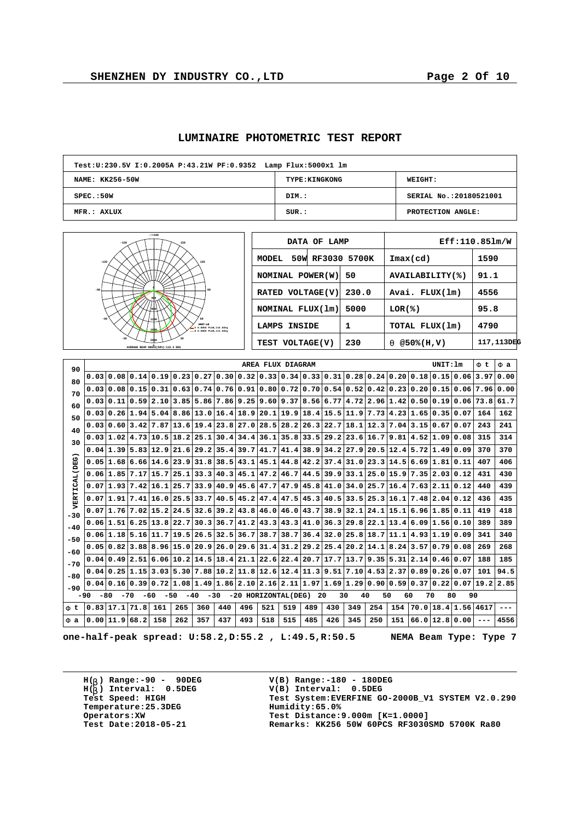| <b>LUMINAIRE PHOTOMETRIC TEST REPORT</b> |  |  |  |
|------------------------------------------|--|--|--|
|------------------------------------------|--|--|--|

| Test: U: 230.5V I: 0.2005A P: 43.21W PF: 0.9352 Lamp Flux: 5000x1 lm |                       |                        |  |  |  |  |  |  |  |  |
|----------------------------------------------------------------------|-----------------------|------------------------|--|--|--|--|--|--|--|--|
| NAME: KK256-50W                                                      | <b>TYPE: KINGKONG</b> | <b>WEIGHT:</b>         |  |  |  |  |  |  |  |  |
| SPEC.:50W                                                            | DIM.:                 | SERIAL No.:20180521001 |  |  |  |  |  |  |  |  |
| MFR.: AXLUX                                                          | SUR.:                 | PROTECTION ANGLE:      |  |  |  |  |  |  |  |  |



| DATA OF LAMP              |       |                            | Eff:110.851m/W |
|---------------------------|-------|----------------------------|----------------|
| 50W RF3030 5700K<br>MODEL |       | $\texttt{Imax}(\text{cd})$ | 1590           |
| NOMINAL POWER(W)          | 50    | AVAILABILITY(%)            | 91.1           |
| RATED VOLTAGE(V)          | 230.0 | Avai. FLUX(1m)             | 4556           |
| NOMINAL FLUX(1m)          | 5000  | LOR(8)                     | 95.8           |
| <b>LAMPS INSIDE</b>       | 1     | TOTAL FLUX(1m)             | 4790           |
| TEST VOLTAGE(V)           | 230   | $@50*(H,V)$<br>q           | 117,113DEG     |

| 90                   |                                                                                                                                 |                |                          |             |     |     |                                                                                                                                  |     | AREA FLUX DIAGRAM |     |      |      |                                           |      |     |                                                                                                                                                                                                                    | UNIT: 1m          |                             | F t       | F a       |
|----------------------|---------------------------------------------------------------------------------------------------------------------------------|----------------|--------------------------|-------------|-----|-----|----------------------------------------------------------------------------------------------------------------------------------|-----|-------------------|-----|------|------|-------------------------------------------|------|-----|--------------------------------------------------------------------------------------------------------------------------------------------------------------------------------------------------------------------|-------------------|-----------------------------|-----------|-----------|
| 80                   |                                                                                                                                 |                |                          |             |     |     |                                                                                                                                  |     |                   |     |      |      |                                           |      |     | $0.03 0.08 0.14 0.19 0.23 0.27 0.30 0.32 0.33 0.34 0.33 0.31 0.28 0.24 0.20 0.18 0.15 0.06$                                                                                                                        |                   |                             |           | 3.97 0.00 |
| 70                   |                                                                                                                                 |                |                          |             |     |     |                                                                                                                                  |     |                   |     |      |      |                                           |      |     | $0.03 0.08 0.15 0.31 0.63 0.74 0.76 0.91 0.80 0.72 0.70 0.54 0.52 0.42 0.23 0.20 0.15 0.06 7.96 0.00$                                                                                                              |                   |                             |           |           |
| 60                   | 0.03                                                                                                                            |                |                          |             |     |     |                                                                                                                                  |     |                   |     |      |      |                                           |      |     | $\mid$ 0.11 $\mid$ 0.59 $\mid$ 2.10 $\mid$ 3.85 $\mid$ 5.86 $\mid$ 7.86 $\mid$ 9.25 $\mid$ 9.60 $\mid$ 9.37 $\mid$ 8.56 $\mid$ 6.77 $\mid$ 4.72 $\mid$ 2.96 $\mid$ 1.42 $\mid$ 0.50 $\mid$ 0.19 $\mid$ 0.06 $\mid$ |                   |                             | 73.8 61.7 |           |
| 50                   |                                                                                                                                 |                |                          |             |     |     | $0.03 0.26 1.94 5.04 8.86 13.0 16.4 18.9 20.1 19.9 18.4 $                                                                        |     |                   |     |      |      |                                           |      |     | 15.5 11.9 7.73 4.23 1.65 0.35 0.07                                                                                                                                                                                 |                   |                             | 164       | 162       |
| 40                   |                                                                                                                                 |                |                          |             |     |     |                                                                                                                                  |     |                   |     |      |      |                                           |      |     | $0.03 0.60 3.42 7.87 13.6 19.4 23.8 27.0 28.5 28.2 26.3 22.7 18.1 12.3 7.04 3.15 0.67 0.07$                                                                                                                        |                   |                             | 243       | 241       |
| 30                   | 0.031                                                                                                                           |                |                          |             |     |     | $\vert 1.02 \vert 4.73 \vert 10.5 \vert 18.2 \vert 25.1 \vert 30.4 \vert 34.4 \vert 36.1 \vert 35.8 \vert 33.5 \vert 29.2 \vert$ |     |                   |     |      |      | 23.6                                      | 16.7 |     | 9.81 4.52 1.09 0.08                                                                                                                                                                                                |                   |                             | 315       | 314       |
|                      |                                                                                                                                 |                |                          |             |     |     | $0.04 1.39 5.83 12.9 21.6 29.2 35.4 39.7 41.7 41.4 38.9 $                                                                        |     |                   |     |      |      |                                           |      |     | $34.2$  27.9 20.5 12.4 5.72 1.49 0.09                                                                                                                                                                              |                   |                             | 370       | 370       |
| <b>VERTICAL (DEG</b> |                                                                                                                                 |                |                          |             |     |     | $0.05 1.68 6.66 14.6 23.9 31.8 38.5 43.1 45.1 44.8 42.2 $                                                                        |     |                   |     |      |      |                                           |      |     | $37.4$ 31.0 23.3 14.5 6.69 1.81 0.11                                                                                                                                                                               |                   |                             | 407       | 406       |
|                      |                                                                                                                                 | 0.06 1.85 7.17 |                          | $15.7$ 25.1 |     |     | 33.3 40.3 45.1 47.2 46.7                                                                                                         |     |                   |     | 44.5 | 39.9 | 33.1                                      |      |     | $25.0$ 15.9 7.35 2.03 0.12                                                                                                                                                                                         |                   |                             | 431       | 430       |
|                      |                                                                                                                                 |                | 0.07 1.93 7.42 16.1 25.7 |             |     |     |                                                                                                                                  |     |                   |     |      |      | $33.9 40.9 45.6 47.7 47.9 45.8 41.0 34.0$ | 25.7 |     | $16.4$ 7.63 2.11 0.12                                                                                                                                                                                              |                   |                             | 440       | 439       |
|                      |                                                                                                                                 |                |                          |             |     |     |                                                                                                                                  |     |                   |     |      |      |                                           |      |     | $0.07 1.91 7.41 16.0 25.5 33.7 40.5 45.2 47.4 47.5 45.3 40.5 33.5 25.3 16.1 7.48 2.04 0.12$                                                                                                                        |                   |                             | 436       | 435       |
| $-30$                | 0.07                                                                                                                            |                |                          |             |     |     | $1.76$   7.02   15.2   24.5   32.6   39.2   43.8   46.0   46.0   43.7                                                            |     |                   |     |      | 38.9 | 32.1                                      |      |     | $24.1$  15.1 6.96 1.85 0.11                                                                                                                                                                                        |                   |                             | 419       | 418       |
| $-40$                |                                                                                                                                 |                | 0.06 1.51 6.25 13.8 22.7 |             |     |     | 30.3 36.7 41.2 43.3 43.3 41.0                                                                                                    |     |                   |     |      | 36.3 | 29.8                                      |      |     | 22.1 13.4 6.09 1.56 0.10                                                                                                                                                                                           |                   |                             | 389       | 389       |
| -50                  |                                                                                                                                 |                |                          |             |     |     |                                                                                                                                  |     |                   |     |      |      |                                           |      |     | $0.06 1.18 5.16 11.7 19.5 26.5 32.5 36.7 38.7 38.7 36.4 32.0 25.8 18.7 11.1 4.93 1.19 0.09$                                                                                                                        |                   |                             | 341       | 340       |
| -60                  |                                                                                                                                 |                | 0.05 0.82 3.88 8.96 15.0 |             |     |     | 20.9 26.0 29.6 31.4 31.2 29.2                                                                                                    |     |                   |     |      | 25.4 | 20.2                                      | 14.1 |     | $8.24$ $3.57$ $0.79$ $0.08$                                                                                                                                                                                        |                   |                             | 269       | 268       |
| $-70$                |                                                                                                                                 |                | 0.04 0.49 2.51           |             |     |     |                                                                                                                                  |     |                   |     |      |      |                                           |      |     | $(6.06 10.2 14.5 18.4 21.1 22.6 22.4 20.7 17.7 13.7 9.35 5.31 2.14 0.46 0.07$                                                                                                                                      |                   |                             | 188       | 185       |
| $-80$                |                                                                                                                                 |                |                          |             |     |     |                                                                                                                                  |     |                   |     |      |      |                                           |      |     | $0.04 0.25 1.15 3.03 5.30 7.88 10.2 11.8 12.6 12.4 11.3 9.51 7.10 4.53 2.37 0.89 0.26 0.07$                                                                                                                        |                   |                             | 101       | 94.5      |
| $-90$                | 0.04                                                                                                                            |                |                          |             |     |     |                                                                                                                                  |     |                   |     |      |      |                                           |      |     | $[0.16] 0.39] 0.72] 1.08] 1.49] 1.86] 2.10] 2.16] 2.11] 1.97] 1.69] 1.29] 0.90] 0.59] 0.37] 0.22] 0.07] 19.2] 2.85$                                                                                                |                   |                             |           |           |
|                      | $-50$<br>$-40$<br>$-30$<br>-20 HORIZONTAL(DEG)<br>30<br>40<br>50<br>60<br>80<br>90<br>-80<br>$-70$<br>$-60$<br>-20<br>70<br>-90 |                |                          |             |     |     |                                                                                                                                  |     |                   |     |      |      |                                           |      |     |                                                                                                                                                                                                                    |                   |                             |           |           |
| Ft                   | 0.83 17.1 71.8                                                                                                                  |                |                          | 161         | 265 | 360 | 440                                                                                                                              | 496 | 521               | 519 | 489  | 430  | 349                                       | 254  | 154 |                                                                                                                                                                                                                    |                   | $70.0$   18.4   1.56   4617 |           |           |
| Fa                   | $0.00$  11.9 68.2                                                                                                               |                |                          | 158         | 262 | 357 | 437                                                                                                                              | 493 | 518               | 515 | 485  | 426  | 345                                       | 250  | 151 |                                                                                                                                                                                                                    | $66.0$  12.8 0.00 |                             |           | 4556      |

**one-half-peak spread: U:58.2,D:55.2 , L:49.5,R:50.5 NEMA Beam Type: Type 7**

**H( ) Range:-90 - 90DEG** H(<sub>b</sub>) Range:-90 - 90DE<br>H(<sub>b</sub>) Interval: 0.5DEG **b Temperature:25.3DEG**<br>**Operators:XW**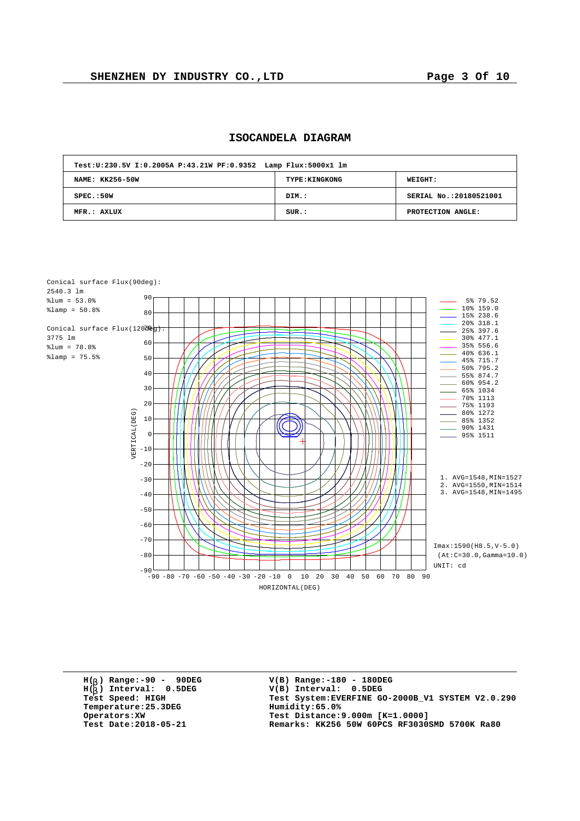| Test: U: 230.5V I: 0.2005A P: 43.21W PF: 0.9352 Lamp Flux: 5000x1 lm |                       |                         |  |  |  |  |  |  |  |  |
|----------------------------------------------------------------------|-----------------------|-------------------------|--|--|--|--|--|--|--|--|
| NAME: KK256-50W                                                      | <b>TYPE: KINGKONG</b> | <b>WEIGHT:</b>          |  |  |  |  |  |  |  |  |
| SPEC. : 50W                                                          | DIM.:                 | SERIAL No.: 20180521001 |  |  |  |  |  |  |  |  |
| MFR.: AXLUX                                                          | SUR.:                 | PROTECTION ANGLE:       |  |  |  |  |  |  |  |  |

## **ISOCANDELA DIAGRAM**



**H( ) Range:-90 - 90DEG** H(<sub>b</sub>) Range:-90 - 90DE<br>H(<sub>b</sub>) Interval: 0.5DEG **b Temperature:25.3DEG Humidity:65.0%**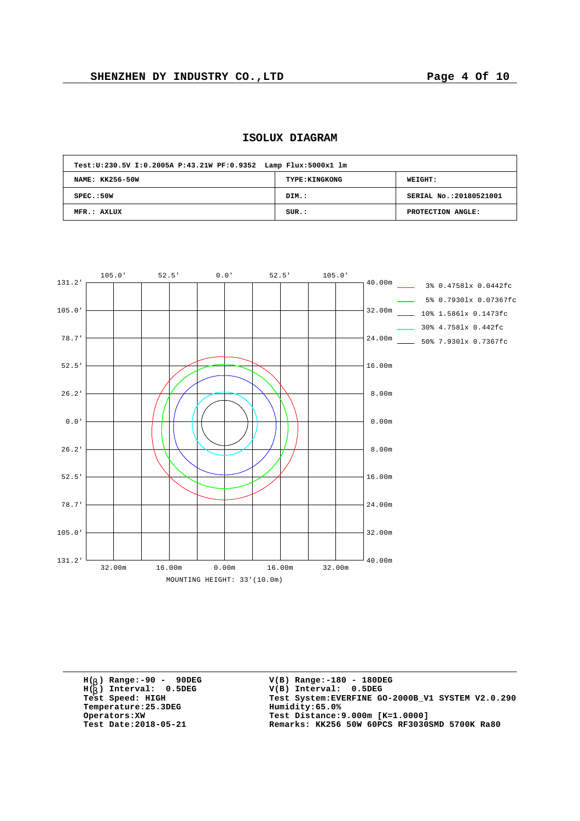| Test: U: 230.5V I: 0.2005A P: 43.21W PF: 0.9352 Lamp Flux: 5000x1 lm |                       |                         |  |  |  |  |  |  |  |  |
|----------------------------------------------------------------------|-----------------------|-------------------------|--|--|--|--|--|--|--|--|
| NAME: KK256-50W                                                      | <b>TYPE: KINGKONG</b> | <b>WEIGHT:</b>          |  |  |  |  |  |  |  |  |
| SPEC.:50W                                                            | DIM.:                 | SERIAL No.: 20180521001 |  |  |  |  |  |  |  |  |
| MFR.: AXLUX                                                          | SUR.:                 | PROTECTION ANGLE:       |  |  |  |  |  |  |  |  |





**H( ) Range:-90 - 90DEG** H(<sub>b</sub>) Range:-90 - 90DE<br>H(<sub>b</sub>) Interval: 0.5DEG **b Temperature: 25.3DEG**<br>**Operators: XW**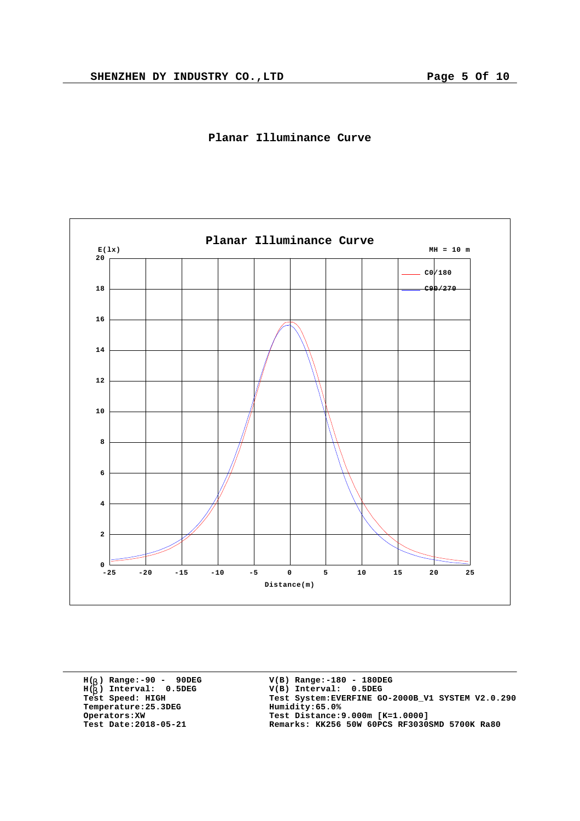



**H( ) Range:-90 - 90DEG** H(<sub>b</sub>) Range:-90 - 90DE<br>H(<sub>b</sub>) Interval: 0.5DEG **b**  $Temperature:25.3DEG$ <br>Operators:XW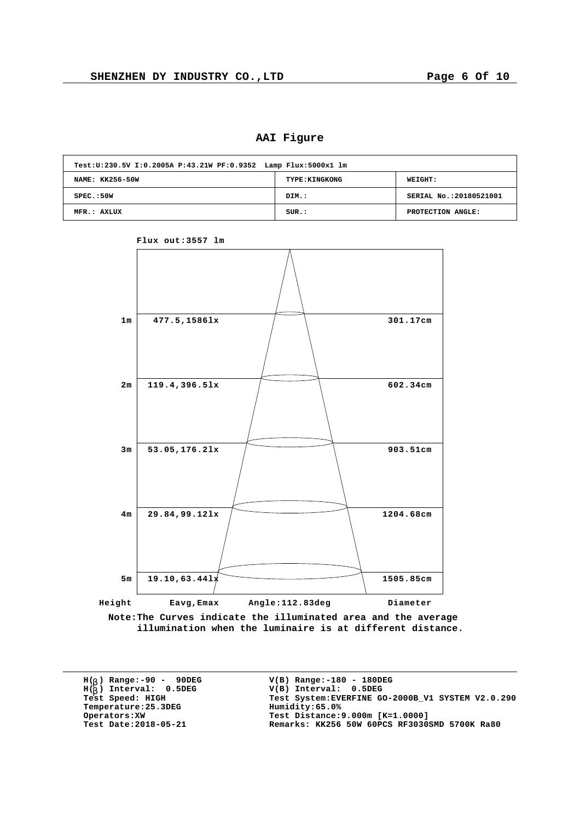**AAI Figure**

| Test: U: 230.5V I: 0.2005A P: 43.21W PF: 0.9352 Lamp Flux: 5000x1 lm |                       |                         |  |  |  |  |  |  |  |  |
|----------------------------------------------------------------------|-----------------------|-------------------------|--|--|--|--|--|--|--|--|
| NAME: KK256-50W                                                      | <b>TYPE: KINGKONG</b> | WEIGHT:                 |  |  |  |  |  |  |  |  |
| SPEC.:50W                                                            | DIM.:                 | SERIAL No.: 20180521001 |  |  |  |  |  |  |  |  |
| MFR.: AXLUX                                                          | SUR.:                 | PROTECTION ANGLE:       |  |  |  |  |  |  |  |  |





**Note:The Curves indicate the illuminated area and the average illumination when the luminaire is at different distance.**

**H( ) Range:-90 - 90DEG** H(<sub>b</sub>) Range:-90 - 90DE<br>H(<sub>b</sub>) Interval: 0.5DEG **b**  $Temperature:25.3DEG$ <br>Operators:XW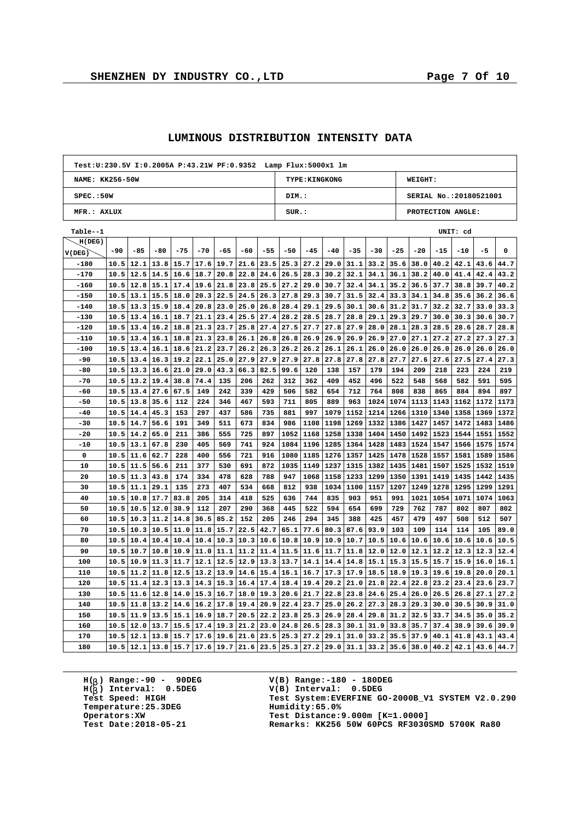$\overline{1}$ 

| Test: U: 230.5V I: 0.2005A P: 43.21W PF: 0.9352    Lamp Flux: 5000x1    lm |                 |      |       |       |                                 |                  |      |       |       |                            |                       |           |               |       |                        |       |          |      |      |  |
|----------------------------------------------------------------------------|-----------------|------|-------|-------|---------------------------------|------------------|------|-------|-------|----------------------------|-----------------------|-----------|---------------|-------|------------------------|-------|----------|------|------|--|
|                                                                            | NAME: KK256-50W |      |       |       |                                 |                  |      |       |       |                            | <b>TYPE: KINGKONG</b> |           |               |       | WEIGHT:                |       |          |      |      |  |
| SPEC.:50W                                                                  |                 |      |       |       |                                 |                  |      |       | DIM.: |                            |                       |           |               |       | SERIAL No.:20180521001 |       |          |      |      |  |
| MFR.: AXLUX                                                                |                 |      |       |       |                                 |                  |      |       |       | SUR.:<br>PROTECTION ANGLE: |                       |           |               |       |                        |       |          |      |      |  |
| Table--1                                                                   |                 |      |       |       |                                 |                  |      |       |       |                            |                       |           |               |       |                        |       | UNIT: cd |      |      |  |
| H(DEG)                                                                     |                 |      |       |       |                                 |                  |      |       |       |                            |                       |           |               |       |                        |       |          |      |      |  |
| V(DEG)                                                                     | -90             | -85  | $-80$ | $-75$ | $-70$                           | -65              | -60  | $-55$ | $-50$ | $-45$                      | $-40$                 | $-35$     | $-30$         | $-25$ | $-20$                  | $-15$ | $-10$    | $-5$ | 0    |  |
| $-180$                                                                     | 10.5            | 12.1 | 13.8  | 15.7  | 17.6                            | 19.7             | 21.6 | 23.5  | 25.3  | 27.2                       | 29.0                  | 31.1      | 33.2          | 35.6  | 38.0                   | 40.2  | 42.1     | 43.6 | 44.7 |  |
| $-170$                                                                     | 10.5            | 12.5 | 14.5  | 16.6  | 18.7                            | 20.8             | 22.8 | 24.6  | 26.5  | 28.3                       | 30.2                  | 32.1      | 34.1          | 36.1  | 38.2                   | 40.0  | 41.4     | 42.4 | 43.2 |  |
| $-160$                                                                     | 10.5            | 12.8 | 15.1  | 17.4  | 19.6                            | 21.8             | 23.8 | 25.5  | 27.2  | 29.0                       | 30.7                  | 32.4      | 34.1          | 35.2  | 36.5                   | 37.7  | 38.8     | 39.7 | 40.2 |  |
| $-150$                                                                     | 10.5            | 13.1 | 15.5  | 18.0  | 20.3                            | 22.5             | 24.5 | 26.3  | 27.8  | 29.3                       | 30.7                  | 31.5      | 32.4          | 33.3  | 34.1                   | 34.8  | 35.6     | 36.2 | 36.6 |  |
| $-140$                                                                     | 10.5            | 13.3 | 15.9  | 18.4  | 20.8                            | 23.0             | 25.0 | 26.8  | 28.4  | 29.1                       | 29.5                  | 30.1      | 30.6          | 31.2  | 31.7                   | 32.2  | 32.7     | 33.0 | 33.3 |  |
| $-130$                                                                     | 10.5            | 13.4 | 16.1  | 18.7  | 21.1                            | 23.4             | 25.5 | 27.4  | 28.2  | 28.5                       | 28.7                  | 28.8      | 29.1          | 29.3  | 29.7                   | 30.0  | 30.3     | 30.6 | 30.7 |  |
| $-120$                                                                     | 10.5            | 13.4 | 16.2  | 18.8  | 21.3                            | 23.7             | 25.8 | 27.4  | 27.5  | 27.7                       | 27.8                  | 27.9      | 28.0          | 28.1  | 28.3                   | 28.5  | 28.6     | 28.7 | 28.8 |  |
| $-110$                                                                     | 10.5            | 13.4 | 16.1  | 18.8  | 21.3                            | 23.8             | 26.1 | 26.8  | 26.8  | 26.9                       | 26.9                  | 26.9      | 26.9          | 27.0  | 27.1                   | 27.2  | 27.2     | 27.3 | 27.3 |  |
| $-100$                                                                     | 10.5            | 13.4 | 16.1  | 18.6  | 21.2                            | 23.7             | 26.2 | 26.3  | 26.2  | 26.2                       | 26.1                  | 26.1      | 26.0          | 26.0  | 26.0                   | 26.0  | 26.0     | 26.0 | 26.0 |  |
| $-90$                                                                      | 10.5            | 13.4 | 16.3  | 19.2  | 22.1                            | 25.0             | 27.9 | 27.9  | 27.9  | 27.8                       | 27.8                  | 27.8      | 27.8          | 27.7  | 27.6                   | 27.6  | 27.5     | 27.4 | 27.3 |  |
| $-80$                                                                      | 10.5            | 13.3 | 16.6  | 21.0  | 29.0                            | 43.3             | 66.3 | 82.5  | 99.6  | 120                        | 138                   | 157       | 179           | 194   | 209                    | 218   | 223      | 224  | 219  |  |
| $-70$                                                                      | 10.5            | 13.2 | 19.4  | 38.8  | 74.4                            | 135              | 206  | 262   | 312   | 362                        | 409                   | 452       | 496           | 522   | 548                    | 568   | 582      | 591  | 595  |  |
| -60                                                                        | 10.5            | 13.4 | 27.6  | 67.5  | 149                             | 242              | 339  | 429   | 506   | 582                        | 654                   | 712       | 764           | 808   | 838                    | 865   | 884      | 894  | 897  |  |
| $-50$                                                                      | 10.5            | 13.8 | 35.6  | 112   | 224                             | 346              | 467  | 593   | 711   | 805                        | 889                   | 963       | 1024          | 1074  | 1113                   | 1143  | 1162     | 1172 | 1173 |  |
| $-40$                                                                      | 10.5            | 14.4 | 45.3  | 153   | 297                             | 437              | 586  | 735   | 881   | 997                        | 1079                  | 1152      | 1214          | 1266  | 1310                   | 1340  | 1358     | 1369 | 1372 |  |
| $-30$                                                                      | 10.5            | 14.7 | 56.6  | 191   | 349                             | 511              | 673  | 834   | 986   | 1108                       | 1198                  | 1269      | 1332          | 1386  | 1427                   | 1457  | 1472     | 1483 | 1486 |  |
| $-20$                                                                      | 10.5            | 14.2 | 65.0  | 211   | 386                             | 555              | 725  | 897   | 1052  | 1168                       | 1258                  | 1338      | 1404          | 1450  | 1492                   | 1523  | 1544     | 1551 | 1552 |  |
| $-10$                                                                      | 10.5            | 13.1 | 67.8  | 230   | 405                             | 569              | 741  | 924   | 1084  | 1196                       | 1285                  | 1364      | 1428          | 1483  | 1524                   | 1547  | 1566     | 1575 | 1574 |  |
| 0                                                                          | 10.5            | 11.6 | 62.7  | 228   | 400                             | 556              | 721  | 916   | 1080  | 1185                       | 1276                  |           | 1357 1425     | 1478  | 1528                   | 1557  | 1581     | 1589 | 1586 |  |
| 10                                                                         | 10.5            | 11.5 | 56.6  | 211   | 377                             | 530              | 691  | 872   | 1035  | 1149                       | 1237                  | 1315      | 1382          | 1435  | 1481                   | 1507  | 1525     | 1532 | 1519 |  |
| 20                                                                         | 10.5            | 11.3 | 43.8  | 174   | 334                             | 478              | 628  | 788   | 947   | 1068                       | 1158                  | 1233 1299 |               | 1350  | 1391                   | 1419  | 1435     | 1442 | 1435 |  |
| 30                                                                         | 10.5            | 11.1 | 29.1  | 135   | 273                             | 407              | 534  | 668   | 812   | 938                        | 1034                  | 1100      | 1157          | 1207  | 1249                   | 1278  | 1295     | 1299 | 1291 |  |
| 40                                                                         | 10.5            | 10.8 | 17.7  | 83.8  | 205                             | 314              | 418  | 525   | 636   | 744                        | 835                   | 903       | 951           | 991   | 1021                   | 1054  | 1071     | 1074 | 1063 |  |
| 50                                                                         | 10.5            | 10.5 | 12.0  | 38.9  | 112                             | 207              | 290  | 368   | 445   | 522                        | 594                   | 654       | 699           | 729   | 762                    | 787   | 802      | 807  | 802  |  |
| 60                                                                         | 10.5            | 10.3 | 11.2  | 14.8  | 36.5                            | 85.2             | 152  | 205   | 246   | 294                        | 345                   | 388       | 425           | 457   | 479                    | 497   | 508      | 512  | 507  |  |
| 70                                                                         | 10.5            | 10.3 | 10.5  | 11.0  | 11.8                            | 15.7             | 22.5 | 42.7  | 65.1  | 77.6                       | 80.3                  | 87.6      | 93.9          | 103   | 109                    | 114   | 114      | 105  | 89.0 |  |
| 80                                                                         | 10.5            | 10.4 | 10.4  | 10.4  | 10.4                            | 10.3             | 10.3 | 10.6  | 10.8  | 10.9                       | 10.9                  | 10.7      | 10.5          | 10.6  | 10.6                   | 10.6  | 10.6     | 10.6 | 10.5 |  |
| 90                                                                         | 10.5            | 10.7 | 10.8  | 10.9  | 11.0                            | 11.1             | 11.2 | 11.4  | 11.5  | 11.6                       | 11.7                  | 11.8      | 12.0          | 12.0  | 12.1                   | 12.2  | 12.3     | 12.3 | 12.4 |  |
| 100                                                                        | 10.5            | 10.9 | 11.3  | 11.7  | 12.1                            | 12.5             | 12.9 | 13.3  | 13.7  | 14.1                       | 14.4                  |           | $14.8$   15.1 | 15.3  | 15.5                   | 15.7  | 15.9     | 16.0 | 16.1 |  |
| 110                                                                        | 10.5            | 11.2 | 11.8  | 12.5  | 13.2                            | 13.9             | 14.6 | 15.4  | 16.1  | 16.7                       | 17.3                  | 17.9      | 18.5          | 18.9  | 19.3                   | 19.6  | 19.8     | 20.0 | 20.1 |  |
| 120                                                                        | 10.5            | 11.4 | 12.3  | 13.3  | 14.3                            | 15.3             | 16.4 | 17.4  | 18.4  | 19.4                       | 20.2                  | 21.0      | 21.8          | 22.4  | 22.8                   | 23.2  | 23.4     | 23.6 | 23.7 |  |
| 130                                                                        | 10.5            | 11.6 | 12.8  | 14.0  |                                 | $15.3 \mid 16.7$ | 18.0 | 19.3  | 20.6  | 21.7                       | 22.8                  | 23.8      | 24.6          | 25.4  | 26.0                   | 26.5  | 26.8     | 27.1 | 27.2 |  |
| 140                                                                        | 10.5            | 11.8 | 13.2  | 14.6  | $16.2$ 17.8                     |                  | 19.4 | 20.9  | 22.4  | 23.7                       | 25.0                  |           | $26.2$ 27.3   | 28.3  | 29.3                   | 30.0  | 30.5     | 30.9 | 31.0 |  |
| 150                                                                        | 10.5            | 11.9 | 13.5  | 15.1  | 16.9                            | 18.7             | 20.5 | 22.2  | 23.8  | 25.3                       | 26.9                  | 28.4      | 29.8          | 31.2  | 32.5                   | 33.7  | 34.5     | 35.0 | 35.2 |  |
| 160                                                                        | 10.5            | 12.0 | 13.7  | 15.5  | 17.4                            | 19.3             | 21.2 | 23.0  | 24.8  | 26.5                       | 28.3                  | 30.1      | 31.9          | 33.8  | 35.7                   | 37.4  | 38.9     | 39.6 | 39.9 |  |
| 170                                                                        | 10.5            | 12.1 | 13.8  | 15.7  | 17.6                            | 19.6             | 21.6 | 23.5  |       | $25.3$ $27.2$              | 29.1                  | 31.0      | 33.2          | 35.5  | 37.9                   | 40.1  | 41.8     | 43.1 | 43.4 |  |
| 180                                                                        | 10.5            |      |       |       | $12.1$   13.8  15.7  17.6  19.7 |                  | 21.6 | 23.5  |       | $25.3$ 27.2                | 29.0                  |           | $31.1$ 33.2   | 35.6  | 38.0                   | 40.2  | 42.1     | 43.6 | 44.7 |  |

## **LUMINOUS DISTRIBUTION INTENSITY DATA**

**H( ) Range:-90 - 90DEG** H(<sub>b</sub>) Range:-90 - 90DE<br>H(<sub>b</sub>) Interval: 0.5DEG **b Temperature: 25.3DEG**<br> **Operators: XW**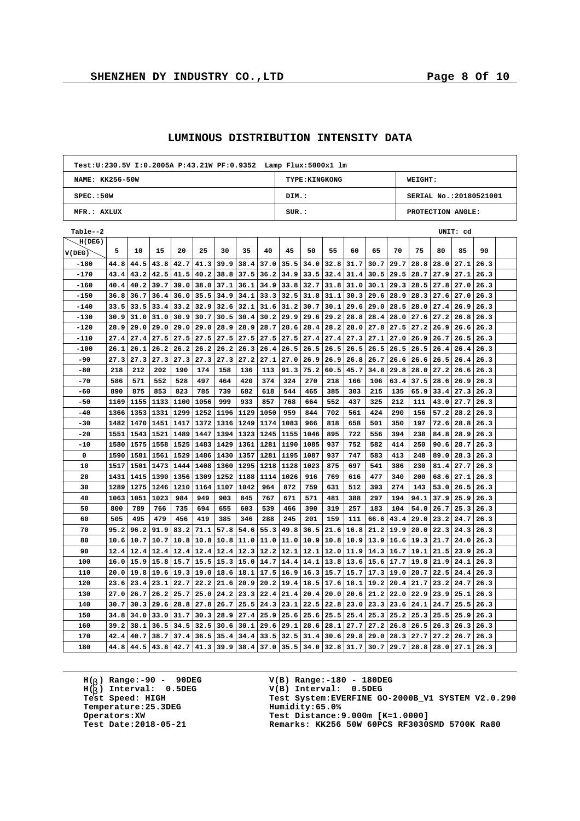$\overline{1}$ 

h

| NAME: KK256-50W<br><b>TYPE: KINGKONG</b><br><b>WEIGHT:</b><br>SPEC.:50W<br>DIM.:<br>SERIAL No.:20180521001<br>MFR.: AXLUX<br>SUR.:<br>PROTECTION ANGLE:<br>Table--2<br>UNIT: cd<br>H(DEG)<br>5<br>75<br>90<br>10<br>15<br>20<br>25<br>30<br>35<br>40<br>45<br>50<br>55<br>60<br>65<br>70<br>80<br>85<br>V(DEG)<br>$-180$<br>44.8<br>44.5<br>43.8<br>42.7<br>41.3<br>39.9<br>38.4<br>37.0<br>35.5<br>34.0<br>32.8<br>31.7<br>30.7<br>29.7<br>28.8<br>28.0<br>27.1<br>26.3<br>$-170$<br>43.4<br>43.2<br>42.5<br>41.5<br>40.2<br>38.8<br>37.5<br>36.2<br>34.9<br>33.5<br>32.4<br>31.4<br>30.5<br>29.5<br>28.7<br>27.9<br>27.1<br>26.3<br>-160<br>40.4<br>40.2<br>39.7<br>39.0<br>38.0<br>37.1<br>36.1<br>34.9<br>33.8<br>32.7<br>31.8<br>31.0<br>30.1<br>29.3<br>$28.5$   27.8<br>27.0<br>26.3<br>$-150$<br>36.8<br>36.7<br>36.4<br>36.0<br>35.5<br>34.9<br>34.1<br>33.3<br>32.5<br>31.8<br>31.1<br>30.3<br>29.6<br>28.9<br>$28.3$ 27.6<br>27.0<br>26.3<br>$-140$<br>33.5<br>33.5<br>33.4<br>33.2<br>32.9<br>32.6<br>32.1<br>31.6<br>31.2<br>30.7<br>30.1<br>29.6<br>29.0<br>28.5<br>28.0<br>27.4<br>26.9<br>26.3<br>$-130$<br>30.9<br>31.0<br>31.0<br>30.9<br>30.7<br>30.5<br>30.4<br>30.2<br>29.9<br>29.6<br>29.2<br>28.8<br>28.4<br>28.0<br>27.6<br>27.2<br>26.3<br>26.8<br>$-120$<br>28.9<br>29.0<br>29.0<br>28.9<br>28.9<br>28.7<br>28.4<br>28.2<br>28.0<br>27.8<br>27.5<br>27.2<br>29.0<br>29.0<br>28.6<br>26.9<br>26.6<br>26.3<br>$-110$<br>27.4<br>27.4<br>27.5<br>27.5<br>27.5<br>27.5<br>27.5<br>27.5<br>27.5<br>27.4<br>27.4<br>27.3<br>27.1<br>27.0<br>26.9<br>26.7<br>26.5<br>26.3<br>$-100$<br>26.1<br>26.1<br>26.2<br>26.2<br>26.2<br>26.2<br>26.3<br>26.4<br>26.5<br>26.5<br>26.5<br>26.5<br>26.5<br>26.5<br>26.5<br>26.4<br>26.4<br>26.3<br>27.3<br>27.3<br>26.9<br>-90<br>27.3<br>27.3<br>27.3<br>27.3<br>27.2<br>27.1<br>27.0<br>26.9<br>26.8<br>26.7<br>26.6<br>26.6<br>26.5<br>26.4<br>26.3<br>218<br>202<br>190<br>174<br>60.5<br>-80<br>212<br>158<br>136<br>113<br>91.3<br>75.2<br>45.7<br>34.8<br>29.8<br>$28.0$ 27.2<br>26.6<br>26.3<br>$-70$<br>586<br>571<br>552<br>528<br>497<br>464<br>420<br>374<br>324<br>270<br>218<br>166<br>106<br>63.4<br>37.5<br>28.6<br>26.9<br>26.3<br>890<br>853<br>785<br>-60<br>875<br>823<br>739<br>682<br>618<br>544<br>465<br>385<br>303<br>215<br>65.9<br>33.4<br>27.3<br>135<br>26.3<br>$-50$<br>1169<br>1155<br>1133<br>1100<br>1056<br>999<br>933<br>857<br>768<br>664<br>552<br>437<br>325<br>212<br>111<br>43.0<br>27.7<br>26.3<br>1353<br>1331<br>1299<br>1252<br>1196<br>1129<br>1050<br>959<br>702<br>424<br>290<br>$-40$<br>1366<br>844<br>561<br>156<br>57.2<br>28.2<br>26.3<br>$-30$<br>1482<br>1470<br>1451<br>1417<br>1372<br>1316<br>1249<br>1174<br>1083<br>966<br>818<br>658<br>501<br>350<br>197<br>72.6<br>28.8<br>26.3<br>1551<br>$-20$<br>1543<br>1521<br>1489<br>1447<br>1394<br>1323<br>1245<br>1155<br>1046<br>895<br>722<br>556<br>394<br>238<br>84.8<br>28.9<br>26.3<br>-10<br>1580<br>1575<br>1558<br>1525<br>1483<br>1429<br>1361<br>1281<br>1190<br>1085<br>937<br>752<br>582<br>414<br>250<br>90.6<br>28.7<br>26.3<br>1590<br>1581<br>1561<br>1357<br>1281<br>1195<br>1087<br>937<br>747<br>89.0<br>0<br>1529<br>1486<br>1430<br>583<br>413<br>248<br>28.3<br>26.3<br>875<br>697<br>10<br>1517<br>1501<br>1473<br>1444<br>1408<br>1360<br>1295<br>1218<br>1128<br>1023<br>541<br>386<br>230<br>81.4<br>27.7<br>26.3<br>20<br>1431<br>1415<br>1390<br>1356<br>1309<br>1252<br>1188<br>1114<br>1026<br>916<br>769<br>616<br>477<br>340<br>200<br>68.6<br>27.1<br>26.3<br>1289<br>872<br>759<br>30<br>1275<br>1246<br>1210<br>1164<br>1107<br>1042<br>964<br>631<br>512<br>393<br>274<br>143<br>53.0<br>26.5<br>26.3<br>1063<br>1051<br>949<br>903<br>845<br>481<br>297<br>94.1<br>40<br>1023<br>984<br>767<br>671<br>571<br>388<br>194<br>37.9<br>25.9<br>26.3<br>50<br>800<br>789<br>766<br>735<br>694<br>655<br>603<br>539<br>466<br>390<br>319<br>257<br>183<br>104<br>54.0<br>26.7<br>25.3<br>26.3<br>60<br>505<br>495<br>479<br>456<br>419<br>385<br>346<br>288<br>245<br>201<br>159<br>111<br>43.4<br>29.0<br>23.2<br>24.7<br>26.3<br>66.6<br>70<br>95.2<br>96.2<br>91.9<br>83.2<br>71.1<br>57.8<br>54.6<br>55.3<br>49.8<br>36.5<br>21.6<br>16.8<br>21.2<br>19.9<br>20.0<br>22.3<br>24.3<br>26.3<br>80<br>10.6<br>10.7<br>10.7<br>10.8<br>10.8<br>10.8<br>11.0<br>11.0<br>11.0<br>10.9<br>10.8<br>10.9<br>13.9<br>16.6<br>19.3<br>21.7<br>24.0<br>26.3<br>12.4<br>12.4<br>12.4<br>12.4<br>12.4<br>12.3<br>12.2<br>12.1<br>12.0<br>19.1<br>90<br>12.4<br>12.1<br>11.9<br>14.3<br>16.7<br>21.5<br>23.9<br>26.3<br>100<br>16.0<br>15.9<br>15.8<br>15.7<br>15.5<br>15.3<br>15.0<br>14.7<br>14.4<br>$14.1$   13.8<br>13.6<br>$15.6$ $17.7$<br>19.8<br>21.9<br>24.1<br>26.3<br>110<br>20.0<br>19.8<br>19.6<br>19.3<br>19.0<br>18.6<br>18.1<br>17.5<br>16.9<br>16.3<br>15.7<br>15.7<br>17.3<br>19.0<br>20.7<br>22.5<br>24.4<br>26.3<br>120<br>23.6<br>23.4<br>23.1<br>22.7<br>22.2<br>21.6<br>20.9<br>20.2<br>19.4<br>18.5<br>17.6<br>18.1<br>19.2<br>20.4<br>21.7<br>23.2<br>24.7<br>26.3<br>22.0<br>130<br>27.0<br>26.7<br>26.2<br>25.7<br>25.0<br>24.2<br>23.3<br>22.4<br>21.4<br>20.4<br>20.0<br>20.6<br>21.2<br>22.9<br>23.9<br>25.1<br>26.3<br>140<br>30.7<br>30.3<br>29.6<br>28.8<br>27.8<br>26.7<br>25.5<br>24.3<br>23.1<br>22.5<br>22.8<br>23.0<br>23.3<br>23.6<br>24.1<br>24.7<br>25.5<br>26.3<br>150<br>34.8<br>31.7<br>28.9<br>27.4<br>25.9<br>25.6<br>25.5<br>25.4<br>25.3<br>34.0<br>33.0<br>30.3<br>25.6<br>25.3<br>25.2<br>25.5<br>25.9<br>26.3<br>160<br>39.2<br>38.1<br>36.5<br>34.5<br>32.5<br>30.6<br>30.1<br>29.6<br>29.1<br>28.6<br>28.1<br>27.7<br>27.2<br>26.8<br>26.5<br>26.3<br>26.3<br>26.3<br>42.4<br>40.7<br>37.4<br>36.5<br>35.4<br>32.5<br>30.6<br>29.8<br>29.0<br>27.7<br>170<br>38.7<br>34.4<br>33.5<br>31.4<br>28.3<br>27.2<br>26.7<br>26.3<br>$30.7$ 29.7<br>$38.4$ 37.0 | Test: U: 230.5V I: 0.2005A P: 43.21W PF: 0.9352 Lamp Flux: 5000x1 lm |      |      |      |      |      |      |  |  |      |      |      |      |  |  |      |      |      |      |  |  |  |  |  |
|--------------------------------------------------------------------------------------------------------------------------------------------------------------------------------------------------------------------------------------------------------------------------------------------------------------------------------------------------------------------------------------------------------------------------------------------------------------------------------------------------------------------------------------------------------------------------------------------------------------------------------------------------------------------------------------------------------------------------------------------------------------------------------------------------------------------------------------------------------------------------------------------------------------------------------------------------------------------------------------------------------------------------------------------------------------------------------------------------------------------------------------------------------------------------------------------------------------------------------------------------------------------------------------------------------------------------------------------------------------------------------------------------------------------------------------------------------------------------------------------------------------------------------------------------------------------------------------------------------------------------------------------------------------------------------------------------------------------------------------------------------------------------------------------------------------------------------------------------------------------------------------------------------------------------------------------------------------------------------------------------------------------------------------------------------------------------------------------------------------------------------------------------------------------------------------------------------------------------------------------------------------------------------------------------------------------------------------------------------------------------------------------------------------------------------------------------------------------------------------------------------------------------------------------------------------------------------------------------------------------------------------------------------------------------------------------------------------------------------------------------------------------------------------------------------------------------------------------------------------------------------------------------------------------------------------------------------------------------------------------------------------------------------------------------------------------------------------------------------------------------------------------------------------------------------------------------------------------------------------------------------------------------------------------------------------------------------------------------------------------------------------------------------------------------------------------------------------------------------------------------------------------------------------------------------------------------------------------------------------------------------------------------------------------------------------------------------------------------------------------------------------------------------------------------------------------------------------------------------------------------------------------------------------------------------------------------------------------------------------------------------------------------------------------------------------------------------------------------------------------------------------------------------------------------------------------------------------------------------------------------------------------------------------------------------------------------------------------------------------------------------------------------------------------------------------------------------------------------------------------------------------------------------------------------------------------------------------------------------------------------------------------------------------------------------------------------------------------------------------------------------------------------------------------------------------------------------------------------------------------------------------------------------------------------------------------------------------------------------------------------------------------------------------------------------------------------------------------------------------------------------------------------------------------------------------------------------------------------------------------------------------------------------------------------------------------------------------------------------------------------------------------------------------------------------------------------------------------------------------------------------------------------------------------------------------------------------------------------------------------------------------------------------------------------------------------------------------------------------------------------------------------------------------------------------------------------------------------------------------------------------------------------|----------------------------------------------------------------------|------|------|------|------|------|------|--|--|------|------|------|------|--|--|------|------|------|------|--|--|--|--|--|
|                                                                                                                                                                                                                                                                                                                                                                                                                                                                                                                                                                                                                                                                                                                                                                                                                                                                                                                                                                                                                                                                                                                                                                                                                                                                                                                                                                                                                                                                                                                                                                                                                                                                                                                                                                                                                                                                                                                                                                                                                                                                                                                                                                                                                                                                                                                                                                                                                                                                                                                                                                                                                                                                                                                                                                                                                                                                                                                                                                                                                                                                                                                                                                                                                                                                                                                                                                                                                                                                                                                                                                                                                                                                                                                                                                                                                                                                                                                                                                                                                                                                                                                                                                                                                                                                                                                                                                                                                                                                                                                                                                                                                                                                                                                                                                                                                                                                                                                                                                                                                                                                                                                                                                                                                                                                                                                                                                                                                                                                                                                                                                                                                                                                                                                                                                                                                                                                                                  |                                                                      |      |      |      |      |      |      |  |  |      |      |      |      |  |  |      |      |      |      |  |  |  |  |  |
|                                                                                                                                                                                                                                                                                                                                                                                                                                                                                                                                                                                                                                                                                                                                                                                                                                                                                                                                                                                                                                                                                                                                                                                                                                                                                                                                                                                                                                                                                                                                                                                                                                                                                                                                                                                                                                                                                                                                                                                                                                                                                                                                                                                                                                                                                                                                                                                                                                                                                                                                                                                                                                                                                                                                                                                                                                                                                                                                                                                                                                                                                                                                                                                                                                                                                                                                                                                                                                                                                                                                                                                                                                                                                                                                                                                                                                                                                                                                                                                                                                                                                                                                                                                                                                                                                                                                                                                                                                                                                                                                                                                                                                                                                                                                                                                                                                                                                                                                                                                                                                                                                                                                                                                                                                                                                                                                                                                                                                                                                                                                                                                                                                                                                                                                                                                                                                                                                                  |                                                                      |      |      |      |      |      |      |  |  |      |      |      |      |  |  |      |      |      |      |  |  |  |  |  |
|                                                                                                                                                                                                                                                                                                                                                                                                                                                                                                                                                                                                                                                                                                                                                                                                                                                                                                                                                                                                                                                                                                                                                                                                                                                                                                                                                                                                                                                                                                                                                                                                                                                                                                                                                                                                                                                                                                                                                                                                                                                                                                                                                                                                                                                                                                                                                                                                                                                                                                                                                                                                                                                                                                                                                                                                                                                                                                                                                                                                                                                                                                                                                                                                                                                                                                                                                                                                                                                                                                                                                                                                                                                                                                                                                                                                                                                                                                                                                                                                                                                                                                                                                                                                                                                                                                                                                                                                                                                                                                                                                                                                                                                                                                                                                                                                                                                                                                                                                                                                                                                                                                                                                                                                                                                                                                                                                                                                                                                                                                                                                                                                                                                                                                                                                                                                                                                                                                  |                                                                      |      |      |      |      |      |      |  |  |      |      |      |      |  |  |      |      |      |      |  |  |  |  |  |
|                                                                                                                                                                                                                                                                                                                                                                                                                                                                                                                                                                                                                                                                                                                                                                                                                                                                                                                                                                                                                                                                                                                                                                                                                                                                                                                                                                                                                                                                                                                                                                                                                                                                                                                                                                                                                                                                                                                                                                                                                                                                                                                                                                                                                                                                                                                                                                                                                                                                                                                                                                                                                                                                                                                                                                                                                                                                                                                                                                                                                                                                                                                                                                                                                                                                                                                                                                                                                                                                                                                                                                                                                                                                                                                                                                                                                                                                                                                                                                                                                                                                                                                                                                                                                                                                                                                                                                                                                                                                                                                                                                                                                                                                                                                                                                                                                                                                                                                                                                                                                                                                                                                                                                                                                                                                                                                                                                                                                                                                                                                                                                                                                                                                                                                                                                                                                                                                                                  |                                                                      |      |      |      |      |      |      |  |  |      |      |      |      |  |  |      |      |      |      |  |  |  |  |  |
|                                                                                                                                                                                                                                                                                                                                                                                                                                                                                                                                                                                                                                                                                                                                                                                                                                                                                                                                                                                                                                                                                                                                                                                                                                                                                                                                                                                                                                                                                                                                                                                                                                                                                                                                                                                                                                                                                                                                                                                                                                                                                                                                                                                                                                                                                                                                                                                                                                                                                                                                                                                                                                                                                                                                                                                                                                                                                                                                                                                                                                                                                                                                                                                                                                                                                                                                                                                                                                                                                                                                                                                                                                                                                                                                                                                                                                                                                                                                                                                                                                                                                                                                                                                                                                                                                                                                                                                                                                                                                                                                                                                                                                                                                                                                                                                                                                                                                                                                                                                                                                                                                                                                                                                                                                                                                                                                                                                                                                                                                                                                                                                                                                                                                                                                                                                                                                                                                                  |                                                                      |      |      |      |      |      |      |  |  |      |      |      |      |  |  |      |      |      |      |  |  |  |  |  |
|                                                                                                                                                                                                                                                                                                                                                                                                                                                                                                                                                                                                                                                                                                                                                                                                                                                                                                                                                                                                                                                                                                                                                                                                                                                                                                                                                                                                                                                                                                                                                                                                                                                                                                                                                                                                                                                                                                                                                                                                                                                                                                                                                                                                                                                                                                                                                                                                                                                                                                                                                                                                                                                                                                                                                                                                                                                                                                                                                                                                                                                                                                                                                                                                                                                                                                                                                                                                                                                                                                                                                                                                                                                                                                                                                                                                                                                                                                                                                                                                                                                                                                                                                                                                                                                                                                                                                                                                                                                                                                                                                                                                                                                                                                                                                                                                                                                                                                                                                                                                                                                                                                                                                                                                                                                                                                                                                                                                                                                                                                                                                                                                                                                                                                                                                                                                                                                                                                  |                                                                      |      |      |      |      |      |      |  |  |      |      |      |      |  |  |      |      |      |      |  |  |  |  |  |
|                                                                                                                                                                                                                                                                                                                                                                                                                                                                                                                                                                                                                                                                                                                                                                                                                                                                                                                                                                                                                                                                                                                                                                                                                                                                                                                                                                                                                                                                                                                                                                                                                                                                                                                                                                                                                                                                                                                                                                                                                                                                                                                                                                                                                                                                                                                                                                                                                                                                                                                                                                                                                                                                                                                                                                                                                                                                                                                                                                                                                                                                                                                                                                                                                                                                                                                                                                                                                                                                                                                                                                                                                                                                                                                                                                                                                                                                                                                                                                                                                                                                                                                                                                                                                                                                                                                                                                                                                                                                                                                                                                                                                                                                                                                                                                                                                                                                                                                                                                                                                                                                                                                                                                                                                                                                                                                                                                                                                                                                                                                                                                                                                                                                                                                                                                                                                                                                                                  |                                                                      |      |      |      |      |      |      |  |  |      |      |      |      |  |  |      |      |      |      |  |  |  |  |  |
|                                                                                                                                                                                                                                                                                                                                                                                                                                                                                                                                                                                                                                                                                                                                                                                                                                                                                                                                                                                                                                                                                                                                                                                                                                                                                                                                                                                                                                                                                                                                                                                                                                                                                                                                                                                                                                                                                                                                                                                                                                                                                                                                                                                                                                                                                                                                                                                                                                                                                                                                                                                                                                                                                                                                                                                                                                                                                                                                                                                                                                                                                                                                                                                                                                                                                                                                                                                                                                                                                                                                                                                                                                                                                                                                                                                                                                                                                                                                                                                                                                                                                                                                                                                                                                                                                                                                                                                                                                                                                                                                                                                                                                                                                                                                                                                                                                                                                                                                                                                                                                                                                                                                                                                                                                                                                                                                                                                                                                                                                                                                                                                                                                                                                                                                                                                                                                                                                                  |                                                                      |      |      |      |      |      |      |  |  |      |      |      |      |  |  |      |      |      |      |  |  |  |  |  |
|                                                                                                                                                                                                                                                                                                                                                                                                                                                                                                                                                                                                                                                                                                                                                                                                                                                                                                                                                                                                                                                                                                                                                                                                                                                                                                                                                                                                                                                                                                                                                                                                                                                                                                                                                                                                                                                                                                                                                                                                                                                                                                                                                                                                                                                                                                                                                                                                                                                                                                                                                                                                                                                                                                                                                                                                                                                                                                                                                                                                                                                                                                                                                                                                                                                                                                                                                                                                                                                                                                                                                                                                                                                                                                                                                                                                                                                                                                                                                                                                                                                                                                                                                                                                                                                                                                                                                                                                                                                                                                                                                                                                                                                                                                                                                                                                                                                                                                                                                                                                                                                                                                                                                                                                                                                                                                                                                                                                                                                                                                                                                                                                                                                                                                                                                                                                                                                                                                  |                                                                      |      |      |      |      |      |      |  |  |      |      |      |      |  |  |      |      |      |      |  |  |  |  |  |
|                                                                                                                                                                                                                                                                                                                                                                                                                                                                                                                                                                                                                                                                                                                                                                                                                                                                                                                                                                                                                                                                                                                                                                                                                                                                                                                                                                                                                                                                                                                                                                                                                                                                                                                                                                                                                                                                                                                                                                                                                                                                                                                                                                                                                                                                                                                                                                                                                                                                                                                                                                                                                                                                                                                                                                                                                                                                                                                                                                                                                                                                                                                                                                                                                                                                                                                                                                                                                                                                                                                                                                                                                                                                                                                                                                                                                                                                                                                                                                                                                                                                                                                                                                                                                                                                                                                                                                                                                                                                                                                                                                                                                                                                                                                                                                                                                                                                                                                                                                                                                                                                                                                                                                                                                                                                                                                                                                                                                                                                                                                                                                                                                                                                                                                                                                                                                                                                                                  |                                                                      |      |      |      |      |      |      |  |  |      |      |      |      |  |  |      |      |      |      |  |  |  |  |  |
|                                                                                                                                                                                                                                                                                                                                                                                                                                                                                                                                                                                                                                                                                                                                                                                                                                                                                                                                                                                                                                                                                                                                                                                                                                                                                                                                                                                                                                                                                                                                                                                                                                                                                                                                                                                                                                                                                                                                                                                                                                                                                                                                                                                                                                                                                                                                                                                                                                                                                                                                                                                                                                                                                                                                                                                                                                                                                                                                                                                                                                                                                                                                                                                                                                                                                                                                                                                                                                                                                                                                                                                                                                                                                                                                                                                                                                                                                                                                                                                                                                                                                                                                                                                                                                                                                                                                                                                                                                                                                                                                                                                                                                                                                                                                                                                                                                                                                                                                                                                                                                                                                                                                                                                                                                                                                                                                                                                                                                                                                                                                                                                                                                                                                                                                                                                                                                                                                                  |                                                                      |      |      |      |      |      |      |  |  |      |      |      |      |  |  |      |      |      |      |  |  |  |  |  |
|                                                                                                                                                                                                                                                                                                                                                                                                                                                                                                                                                                                                                                                                                                                                                                                                                                                                                                                                                                                                                                                                                                                                                                                                                                                                                                                                                                                                                                                                                                                                                                                                                                                                                                                                                                                                                                                                                                                                                                                                                                                                                                                                                                                                                                                                                                                                                                                                                                                                                                                                                                                                                                                                                                                                                                                                                                                                                                                                                                                                                                                                                                                                                                                                                                                                                                                                                                                                                                                                                                                                                                                                                                                                                                                                                                                                                                                                                                                                                                                                                                                                                                                                                                                                                                                                                                                                                                                                                                                                                                                                                                                                                                                                                                                                                                                                                                                                                                                                                                                                                                                                                                                                                                                                                                                                                                                                                                                                                                                                                                                                                                                                                                                                                                                                                                                                                                                                                                  |                                                                      |      |      |      |      |      |      |  |  |      |      |      |      |  |  |      |      |      |      |  |  |  |  |  |
|                                                                                                                                                                                                                                                                                                                                                                                                                                                                                                                                                                                                                                                                                                                                                                                                                                                                                                                                                                                                                                                                                                                                                                                                                                                                                                                                                                                                                                                                                                                                                                                                                                                                                                                                                                                                                                                                                                                                                                                                                                                                                                                                                                                                                                                                                                                                                                                                                                                                                                                                                                                                                                                                                                                                                                                                                                                                                                                                                                                                                                                                                                                                                                                                                                                                                                                                                                                                                                                                                                                                                                                                                                                                                                                                                                                                                                                                                                                                                                                                                                                                                                                                                                                                                                                                                                                                                                                                                                                                                                                                                                                                                                                                                                                                                                                                                                                                                                                                                                                                                                                                                                                                                                                                                                                                                                                                                                                                                                                                                                                                                                                                                                                                                                                                                                                                                                                                                                  |                                                                      |      |      |      |      |      |      |  |  |      |      |      |      |  |  |      |      |      |      |  |  |  |  |  |
|                                                                                                                                                                                                                                                                                                                                                                                                                                                                                                                                                                                                                                                                                                                                                                                                                                                                                                                                                                                                                                                                                                                                                                                                                                                                                                                                                                                                                                                                                                                                                                                                                                                                                                                                                                                                                                                                                                                                                                                                                                                                                                                                                                                                                                                                                                                                                                                                                                                                                                                                                                                                                                                                                                                                                                                                                                                                                                                                                                                                                                                                                                                                                                                                                                                                                                                                                                                                                                                                                                                                                                                                                                                                                                                                                                                                                                                                                                                                                                                                                                                                                                                                                                                                                                                                                                                                                                                                                                                                                                                                                                                                                                                                                                                                                                                                                                                                                                                                                                                                                                                                                                                                                                                                                                                                                                                                                                                                                                                                                                                                                                                                                                                                                                                                                                                                                                                                                                  |                                                                      |      |      |      |      |      |      |  |  |      |      |      |      |  |  |      |      |      |      |  |  |  |  |  |
|                                                                                                                                                                                                                                                                                                                                                                                                                                                                                                                                                                                                                                                                                                                                                                                                                                                                                                                                                                                                                                                                                                                                                                                                                                                                                                                                                                                                                                                                                                                                                                                                                                                                                                                                                                                                                                                                                                                                                                                                                                                                                                                                                                                                                                                                                                                                                                                                                                                                                                                                                                                                                                                                                                                                                                                                                                                                                                                                                                                                                                                                                                                                                                                                                                                                                                                                                                                                                                                                                                                                                                                                                                                                                                                                                                                                                                                                                                                                                                                                                                                                                                                                                                                                                                                                                                                                                                                                                                                                                                                                                                                                                                                                                                                                                                                                                                                                                                                                                                                                                                                                                                                                                                                                                                                                                                                                                                                                                                                                                                                                                                                                                                                                                                                                                                                                                                                                                                  |                                                                      |      |      |      |      |      |      |  |  |      |      |      |      |  |  |      |      |      |      |  |  |  |  |  |
|                                                                                                                                                                                                                                                                                                                                                                                                                                                                                                                                                                                                                                                                                                                                                                                                                                                                                                                                                                                                                                                                                                                                                                                                                                                                                                                                                                                                                                                                                                                                                                                                                                                                                                                                                                                                                                                                                                                                                                                                                                                                                                                                                                                                                                                                                                                                                                                                                                                                                                                                                                                                                                                                                                                                                                                                                                                                                                                                                                                                                                                                                                                                                                                                                                                                                                                                                                                                                                                                                                                                                                                                                                                                                                                                                                                                                                                                                                                                                                                                                                                                                                                                                                                                                                                                                                                                                                                                                                                                                                                                                                                                                                                                                                                                                                                                                                                                                                                                                                                                                                                                                                                                                                                                                                                                                                                                                                                                                                                                                                                                                                                                                                                                                                                                                                                                                                                                                                  |                                                                      |      |      |      |      |      |      |  |  |      |      |      |      |  |  |      |      |      |      |  |  |  |  |  |
|                                                                                                                                                                                                                                                                                                                                                                                                                                                                                                                                                                                                                                                                                                                                                                                                                                                                                                                                                                                                                                                                                                                                                                                                                                                                                                                                                                                                                                                                                                                                                                                                                                                                                                                                                                                                                                                                                                                                                                                                                                                                                                                                                                                                                                                                                                                                                                                                                                                                                                                                                                                                                                                                                                                                                                                                                                                                                                                                                                                                                                                                                                                                                                                                                                                                                                                                                                                                                                                                                                                                                                                                                                                                                                                                                                                                                                                                                                                                                                                                                                                                                                                                                                                                                                                                                                                                                                                                                                                                                                                                                                                                                                                                                                                                                                                                                                                                                                                                                                                                                                                                                                                                                                                                                                                                                                                                                                                                                                                                                                                                                                                                                                                                                                                                                                                                                                                                                                  |                                                                      |      |      |      |      |      |      |  |  |      |      |      |      |  |  |      |      |      |      |  |  |  |  |  |
|                                                                                                                                                                                                                                                                                                                                                                                                                                                                                                                                                                                                                                                                                                                                                                                                                                                                                                                                                                                                                                                                                                                                                                                                                                                                                                                                                                                                                                                                                                                                                                                                                                                                                                                                                                                                                                                                                                                                                                                                                                                                                                                                                                                                                                                                                                                                                                                                                                                                                                                                                                                                                                                                                                                                                                                                                                                                                                                                                                                                                                                                                                                                                                                                                                                                                                                                                                                                                                                                                                                                                                                                                                                                                                                                                                                                                                                                                                                                                                                                                                                                                                                                                                                                                                                                                                                                                                                                                                                                                                                                                                                                                                                                                                                                                                                                                                                                                                                                                                                                                                                                                                                                                                                                                                                                                                                                                                                                                                                                                                                                                                                                                                                                                                                                                                                                                                                                                                  |                                                                      |      |      |      |      |      |      |  |  |      |      |      |      |  |  |      |      |      |      |  |  |  |  |  |
|                                                                                                                                                                                                                                                                                                                                                                                                                                                                                                                                                                                                                                                                                                                                                                                                                                                                                                                                                                                                                                                                                                                                                                                                                                                                                                                                                                                                                                                                                                                                                                                                                                                                                                                                                                                                                                                                                                                                                                                                                                                                                                                                                                                                                                                                                                                                                                                                                                                                                                                                                                                                                                                                                                                                                                                                                                                                                                                                                                                                                                                                                                                                                                                                                                                                                                                                                                                                                                                                                                                                                                                                                                                                                                                                                                                                                                                                                                                                                                                                                                                                                                                                                                                                                                                                                                                                                                                                                                                                                                                                                                                                                                                                                                                                                                                                                                                                                                                                                                                                                                                                                                                                                                                                                                                                                                                                                                                                                                                                                                                                                                                                                                                                                                                                                                                                                                                                                                  |                                                                      |      |      |      |      |      |      |  |  |      |      |      |      |  |  |      |      |      |      |  |  |  |  |  |
|                                                                                                                                                                                                                                                                                                                                                                                                                                                                                                                                                                                                                                                                                                                                                                                                                                                                                                                                                                                                                                                                                                                                                                                                                                                                                                                                                                                                                                                                                                                                                                                                                                                                                                                                                                                                                                                                                                                                                                                                                                                                                                                                                                                                                                                                                                                                                                                                                                                                                                                                                                                                                                                                                                                                                                                                                                                                                                                                                                                                                                                                                                                                                                                                                                                                                                                                                                                                                                                                                                                                                                                                                                                                                                                                                                                                                                                                                                                                                                                                                                                                                                                                                                                                                                                                                                                                                                                                                                                                                                                                                                                                                                                                                                                                                                                                                                                                                                                                                                                                                                                                                                                                                                                                                                                                                                                                                                                                                                                                                                                                                                                                                                                                                                                                                                                                                                                                                                  |                                                                      |      |      |      |      |      |      |  |  |      |      |      |      |  |  |      |      |      |      |  |  |  |  |  |
|                                                                                                                                                                                                                                                                                                                                                                                                                                                                                                                                                                                                                                                                                                                                                                                                                                                                                                                                                                                                                                                                                                                                                                                                                                                                                                                                                                                                                                                                                                                                                                                                                                                                                                                                                                                                                                                                                                                                                                                                                                                                                                                                                                                                                                                                                                                                                                                                                                                                                                                                                                                                                                                                                                                                                                                                                                                                                                                                                                                                                                                                                                                                                                                                                                                                                                                                                                                                                                                                                                                                                                                                                                                                                                                                                                                                                                                                                                                                                                                                                                                                                                                                                                                                                                                                                                                                                                                                                                                                                                                                                                                                                                                                                                                                                                                                                                                                                                                                                                                                                                                                                                                                                                                                                                                                                                                                                                                                                                                                                                                                                                                                                                                                                                                                                                                                                                                                                                  |                                                                      |      |      |      |      |      |      |  |  |      |      |      |      |  |  |      |      |      |      |  |  |  |  |  |
|                                                                                                                                                                                                                                                                                                                                                                                                                                                                                                                                                                                                                                                                                                                                                                                                                                                                                                                                                                                                                                                                                                                                                                                                                                                                                                                                                                                                                                                                                                                                                                                                                                                                                                                                                                                                                                                                                                                                                                                                                                                                                                                                                                                                                                                                                                                                                                                                                                                                                                                                                                                                                                                                                                                                                                                                                                                                                                                                                                                                                                                                                                                                                                                                                                                                                                                                                                                                                                                                                                                                                                                                                                                                                                                                                                                                                                                                                                                                                                                                                                                                                                                                                                                                                                                                                                                                                                                                                                                                                                                                                                                                                                                                                                                                                                                                                                                                                                                                                                                                                                                                                                                                                                                                                                                                                                                                                                                                                                                                                                                                                                                                                                                                                                                                                                                                                                                                                                  |                                                                      |      |      |      |      |      |      |  |  |      |      |      |      |  |  |      |      |      |      |  |  |  |  |  |
|                                                                                                                                                                                                                                                                                                                                                                                                                                                                                                                                                                                                                                                                                                                                                                                                                                                                                                                                                                                                                                                                                                                                                                                                                                                                                                                                                                                                                                                                                                                                                                                                                                                                                                                                                                                                                                                                                                                                                                                                                                                                                                                                                                                                                                                                                                                                                                                                                                                                                                                                                                                                                                                                                                                                                                                                                                                                                                                                                                                                                                                                                                                                                                                                                                                                                                                                                                                                                                                                                                                                                                                                                                                                                                                                                                                                                                                                                                                                                                                                                                                                                                                                                                                                                                                                                                                                                                                                                                                                                                                                                                                                                                                                                                                                                                                                                                                                                                                                                                                                                                                                                                                                                                                                                                                                                                                                                                                                                                                                                                                                                                                                                                                                                                                                                                                                                                                                                                  |                                                                      |      |      |      |      |      |      |  |  |      |      |      |      |  |  |      |      |      |      |  |  |  |  |  |
|                                                                                                                                                                                                                                                                                                                                                                                                                                                                                                                                                                                                                                                                                                                                                                                                                                                                                                                                                                                                                                                                                                                                                                                                                                                                                                                                                                                                                                                                                                                                                                                                                                                                                                                                                                                                                                                                                                                                                                                                                                                                                                                                                                                                                                                                                                                                                                                                                                                                                                                                                                                                                                                                                                                                                                                                                                                                                                                                                                                                                                                                                                                                                                                                                                                                                                                                                                                                                                                                                                                                                                                                                                                                                                                                                                                                                                                                                                                                                                                                                                                                                                                                                                                                                                                                                                                                                                                                                                                                                                                                                                                                                                                                                                                                                                                                                                                                                                                                                                                                                                                                                                                                                                                                                                                                                                                                                                                                                                                                                                                                                                                                                                                                                                                                                                                                                                                                                                  |                                                                      |      |      |      |      |      |      |  |  |      |      |      |      |  |  |      |      |      |      |  |  |  |  |  |
|                                                                                                                                                                                                                                                                                                                                                                                                                                                                                                                                                                                                                                                                                                                                                                                                                                                                                                                                                                                                                                                                                                                                                                                                                                                                                                                                                                                                                                                                                                                                                                                                                                                                                                                                                                                                                                                                                                                                                                                                                                                                                                                                                                                                                                                                                                                                                                                                                                                                                                                                                                                                                                                                                                                                                                                                                                                                                                                                                                                                                                                                                                                                                                                                                                                                                                                                                                                                                                                                                                                                                                                                                                                                                                                                                                                                                                                                                                                                                                                                                                                                                                                                                                                                                                                                                                                                                                                                                                                                                                                                                                                                                                                                                                                                                                                                                                                                                                                                                                                                                                                                                                                                                                                                                                                                                                                                                                                                                                                                                                                                                                                                                                                                                                                                                                                                                                                                                                  |                                                                      |      |      |      |      |      |      |  |  |      |      |      |      |  |  |      |      |      |      |  |  |  |  |  |
|                                                                                                                                                                                                                                                                                                                                                                                                                                                                                                                                                                                                                                                                                                                                                                                                                                                                                                                                                                                                                                                                                                                                                                                                                                                                                                                                                                                                                                                                                                                                                                                                                                                                                                                                                                                                                                                                                                                                                                                                                                                                                                                                                                                                                                                                                                                                                                                                                                                                                                                                                                                                                                                                                                                                                                                                                                                                                                                                                                                                                                                                                                                                                                                                                                                                                                                                                                                                                                                                                                                                                                                                                                                                                                                                                                                                                                                                                                                                                                                                                                                                                                                                                                                                                                                                                                                                                                                                                                                                                                                                                                                                                                                                                                                                                                                                                                                                                                                                                                                                                                                                                                                                                                                                                                                                                                                                                                                                                                                                                                                                                                                                                                                                                                                                                                                                                                                                                                  |                                                                      |      |      |      |      |      |      |  |  |      |      |      |      |  |  |      |      |      |      |  |  |  |  |  |
|                                                                                                                                                                                                                                                                                                                                                                                                                                                                                                                                                                                                                                                                                                                                                                                                                                                                                                                                                                                                                                                                                                                                                                                                                                                                                                                                                                                                                                                                                                                                                                                                                                                                                                                                                                                                                                                                                                                                                                                                                                                                                                                                                                                                                                                                                                                                                                                                                                                                                                                                                                                                                                                                                                                                                                                                                                                                                                                                                                                                                                                                                                                                                                                                                                                                                                                                                                                                                                                                                                                                                                                                                                                                                                                                                                                                                                                                                                                                                                                                                                                                                                                                                                                                                                                                                                                                                                                                                                                                                                                                                                                                                                                                                                                                                                                                                                                                                                                                                                                                                                                                                                                                                                                                                                                                                                                                                                                                                                                                                                                                                                                                                                                                                                                                                                                                                                                                                                  |                                                                      |      |      |      |      |      |      |  |  |      |      |      |      |  |  |      |      |      |      |  |  |  |  |  |
|                                                                                                                                                                                                                                                                                                                                                                                                                                                                                                                                                                                                                                                                                                                                                                                                                                                                                                                                                                                                                                                                                                                                                                                                                                                                                                                                                                                                                                                                                                                                                                                                                                                                                                                                                                                                                                                                                                                                                                                                                                                                                                                                                                                                                                                                                                                                                                                                                                                                                                                                                                                                                                                                                                                                                                                                                                                                                                                                                                                                                                                                                                                                                                                                                                                                                                                                                                                                                                                                                                                                                                                                                                                                                                                                                                                                                                                                                                                                                                                                                                                                                                                                                                                                                                                                                                                                                                                                                                                                                                                                                                                                                                                                                                                                                                                                                                                                                                                                                                                                                                                                                                                                                                                                                                                                                                                                                                                                                                                                                                                                                                                                                                                                                                                                                                                                                                                                                                  |                                                                      |      |      |      |      |      |      |  |  |      |      |      |      |  |  |      |      |      |      |  |  |  |  |  |
|                                                                                                                                                                                                                                                                                                                                                                                                                                                                                                                                                                                                                                                                                                                                                                                                                                                                                                                                                                                                                                                                                                                                                                                                                                                                                                                                                                                                                                                                                                                                                                                                                                                                                                                                                                                                                                                                                                                                                                                                                                                                                                                                                                                                                                                                                                                                                                                                                                                                                                                                                                                                                                                                                                                                                                                                                                                                                                                                                                                                                                                                                                                                                                                                                                                                                                                                                                                                                                                                                                                                                                                                                                                                                                                                                                                                                                                                                                                                                                                                                                                                                                                                                                                                                                                                                                                                                                                                                                                                                                                                                                                                                                                                                                                                                                                                                                                                                                                                                                                                                                                                                                                                                                                                                                                                                                                                                                                                                                                                                                                                                                                                                                                                                                                                                                                                                                                                                                  |                                                                      |      |      |      |      |      |      |  |  |      |      |      |      |  |  |      |      |      |      |  |  |  |  |  |
|                                                                                                                                                                                                                                                                                                                                                                                                                                                                                                                                                                                                                                                                                                                                                                                                                                                                                                                                                                                                                                                                                                                                                                                                                                                                                                                                                                                                                                                                                                                                                                                                                                                                                                                                                                                                                                                                                                                                                                                                                                                                                                                                                                                                                                                                                                                                                                                                                                                                                                                                                                                                                                                                                                                                                                                                                                                                                                                                                                                                                                                                                                                                                                                                                                                                                                                                                                                                                                                                                                                                                                                                                                                                                                                                                                                                                                                                                                                                                                                                                                                                                                                                                                                                                                                                                                                                                                                                                                                                                                                                                                                                                                                                                                                                                                                                                                                                                                                                                                                                                                                                                                                                                                                                                                                                                                                                                                                                                                                                                                                                                                                                                                                                                                                                                                                                                                                                                                  |                                                                      |      |      |      |      |      |      |  |  |      |      |      |      |  |  |      |      |      |      |  |  |  |  |  |
|                                                                                                                                                                                                                                                                                                                                                                                                                                                                                                                                                                                                                                                                                                                                                                                                                                                                                                                                                                                                                                                                                                                                                                                                                                                                                                                                                                                                                                                                                                                                                                                                                                                                                                                                                                                                                                                                                                                                                                                                                                                                                                                                                                                                                                                                                                                                                                                                                                                                                                                                                                                                                                                                                                                                                                                                                                                                                                                                                                                                                                                                                                                                                                                                                                                                                                                                                                                                                                                                                                                                                                                                                                                                                                                                                                                                                                                                                                                                                                                                                                                                                                                                                                                                                                                                                                                                                                                                                                                                                                                                                                                                                                                                                                                                                                                                                                                                                                                                                                                                                                                                                                                                                                                                                                                                                                                                                                                                                                                                                                                                                                                                                                                                                                                                                                                                                                                                                                  |                                                                      |      |      |      |      |      |      |  |  |      |      |      |      |  |  |      |      |      |      |  |  |  |  |  |
|                                                                                                                                                                                                                                                                                                                                                                                                                                                                                                                                                                                                                                                                                                                                                                                                                                                                                                                                                                                                                                                                                                                                                                                                                                                                                                                                                                                                                                                                                                                                                                                                                                                                                                                                                                                                                                                                                                                                                                                                                                                                                                                                                                                                                                                                                                                                                                                                                                                                                                                                                                                                                                                                                                                                                                                                                                                                                                                                                                                                                                                                                                                                                                                                                                                                                                                                                                                                                                                                                                                                                                                                                                                                                                                                                                                                                                                                                                                                                                                                                                                                                                                                                                                                                                                                                                                                                                                                                                                                                                                                                                                                                                                                                                                                                                                                                                                                                                                                                                                                                                                                                                                                                                                                                                                                                                                                                                                                                                                                                                                                                                                                                                                                                                                                                                                                                                                                                                  |                                                                      |      |      |      |      |      |      |  |  |      |      |      |      |  |  |      |      |      |      |  |  |  |  |  |
|                                                                                                                                                                                                                                                                                                                                                                                                                                                                                                                                                                                                                                                                                                                                                                                                                                                                                                                                                                                                                                                                                                                                                                                                                                                                                                                                                                                                                                                                                                                                                                                                                                                                                                                                                                                                                                                                                                                                                                                                                                                                                                                                                                                                                                                                                                                                                                                                                                                                                                                                                                                                                                                                                                                                                                                                                                                                                                                                                                                                                                                                                                                                                                                                                                                                                                                                                                                                                                                                                                                                                                                                                                                                                                                                                                                                                                                                                                                                                                                                                                                                                                                                                                                                                                                                                                                                                                                                                                                                                                                                                                                                                                                                                                                                                                                                                                                                                                                                                                                                                                                                                                                                                                                                                                                                                                                                                                                                                                                                                                                                                                                                                                                                                                                                                                                                                                                                                                  |                                                                      |      |      |      |      |      |      |  |  |      |      |      |      |  |  |      |      |      |      |  |  |  |  |  |
|                                                                                                                                                                                                                                                                                                                                                                                                                                                                                                                                                                                                                                                                                                                                                                                                                                                                                                                                                                                                                                                                                                                                                                                                                                                                                                                                                                                                                                                                                                                                                                                                                                                                                                                                                                                                                                                                                                                                                                                                                                                                                                                                                                                                                                                                                                                                                                                                                                                                                                                                                                                                                                                                                                                                                                                                                                                                                                                                                                                                                                                                                                                                                                                                                                                                                                                                                                                                                                                                                                                                                                                                                                                                                                                                                                                                                                                                                                                                                                                                                                                                                                                                                                                                                                                                                                                                                                                                                                                                                                                                                                                                                                                                                                                                                                                                                                                                                                                                                                                                                                                                                                                                                                                                                                                                                                                                                                                                                                                                                                                                                                                                                                                                                                                                                                                                                                                                                                  |                                                                      |      |      |      |      |      |      |  |  |      |      |      |      |  |  |      |      |      |      |  |  |  |  |  |
|                                                                                                                                                                                                                                                                                                                                                                                                                                                                                                                                                                                                                                                                                                                                                                                                                                                                                                                                                                                                                                                                                                                                                                                                                                                                                                                                                                                                                                                                                                                                                                                                                                                                                                                                                                                                                                                                                                                                                                                                                                                                                                                                                                                                                                                                                                                                                                                                                                                                                                                                                                                                                                                                                                                                                                                                                                                                                                                                                                                                                                                                                                                                                                                                                                                                                                                                                                                                                                                                                                                                                                                                                                                                                                                                                                                                                                                                                                                                                                                                                                                                                                                                                                                                                                                                                                                                                                                                                                                                                                                                                                                                                                                                                                                                                                                                                                                                                                                                                                                                                                                                                                                                                                                                                                                                                                                                                                                                                                                                                                                                                                                                                                                                                                                                                                                                                                                                                                  |                                                                      |      |      |      |      |      |      |  |  |      |      |      |      |  |  |      |      |      |      |  |  |  |  |  |
|                                                                                                                                                                                                                                                                                                                                                                                                                                                                                                                                                                                                                                                                                                                                                                                                                                                                                                                                                                                                                                                                                                                                                                                                                                                                                                                                                                                                                                                                                                                                                                                                                                                                                                                                                                                                                                                                                                                                                                                                                                                                                                                                                                                                                                                                                                                                                                                                                                                                                                                                                                                                                                                                                                                                                                                                                                                                                                                                                                                                                                                                                                                                                                                                                                                                                                                                                                                                                                                                                                                                                                                                                                                                                                                                                                                                                                                                                                                                                                                                                                                                                                                                                                                                                                                                                                                                                                                                                                                                                                                                                                                                                                                                                                                                                                                                                                                                                                                                                                                                                                                                                                                                                                                                                                                                                                                                                                                                                                                                                                                                                                                                                                                                                                                                                                                                                                                                                                  |                                                                      |      |      |      |      |      |      |  |  |      |      |      |      |  |  |      |      |      |      |  |  |  |  |  |
|                                                                                                                                                                                                                                                                                                                                                                                                                                                                                                                                                                                                                                                                                                                                                                                                                                                                                                                                                                                                                                                                                                                                                                                                                                                                                                                                                                                                                                                                                                                                                                                                                                                                                                                                                                                                                                                                                                                                                                                                                                                                                                                                                                                                                                                                                                                                                                                                                                                                                                                                                                                                                                                                                                                                                                                                                                                                                                                                                                                                                                                                                                                                                                                                                                                                                                                                                                                                                                                                                                                                                                                                                                                                                                                                                                                                                                                                                                                                                                                                                                                                                                                                                                                                                                                                                                                                                                                                                                                                                                                                                                                                                                                                                                                                                                                                                                                                                                                                                                                                                                                                                                                                                                                                                                                                                                                                                                                                                                                                                                                                                                                                                                                                                                                                                                                                                                                                                                  |                                                                      |      |      |      |      |      |      |  |  |      |      |      |      |  |  |      |      |      |      |  |  |  |  |  |
|                                                                                                                                                                                                                                                                                                                                                                                                                                                                                                                                                                                                                                                                                                                                                                                                                                                                                                                                                                                                                                                                                                                                                                                                                                                                                                                                                                                                                                                                                                                                                                                                                                                                                                                                                                                                                                                                                                                                                                                                                                                                                                                                                                                                                                                                                                                                                                                                                                                                                                                                                                                                                                                                                                                                                                                                                                                                                                                                                                                                                                                                                                                                                                                                                                                                                                                                                                                                                                                                                                                                                                                                                                                                                                                                                                                                                                                                                                                                                                                                                                                                                                                                                                                                                                                                                                                                                                                                                                                                                                                                                                                                                                                                                                                                                                                                                                                                                                                                                                                                                                                                                                                                                                                                                                                                                                                                                                                                                                                                                                                                                                                                                                                                                                                                                                                                                                                                                                  |                                                                      |      |      |      |      |      |      |  |  |      |      |      |      |  |  |      |      |      |      |  |  |  |  |  |
|                                                                                                                                                                                                                                                                                                                                                                                                                                                                                                                                                                                                                                                                                                                                                                                                                                                                                                                                                                                                                                                                                                                                                                                                                                                                                                                                                                                                                                                                                                                                                                                                                                                                                                                                                                                                                                                                                                                                                                                                                                                                                                                                                                                                                                                                                                                                                                                                                                                                                                                                                                                                                                                                                                                                                                                                                                                                                                                                                                                                                                                                                                                                                                                                                                                                                                                                                                                                                                                                                                                                                                                                                                                                                                                                                                                                                                                                                                                                                                                                                                                                                                                                                                                                                                                                                                                                                                                                                                                                                                                                                                                                                                                                                                                                                                                                                                                                                                                                                                                                                                                                                                                                                                                                                                                                                                                                                                                                                                                                                                                                                                                                                                                                                                                                                                                                                                                                                                  |                                                                      |      |      |      |      |      |      |  |  |      |      |      |      |  |  |      |      |      |      |  |  |  |  |  |
|                                                                                                                                                                                                                                                                                                                                                                                                                                                                                                                                                                                                                                                                                                                                                                                                                                                                                                                                                                                                                                                                                                                                                                                                                                                                                                                                                                                                                                                                                                                                                                                                                                                                                                                                                                                                                                                                                                                                                                                                                                                                                                                                                                                                                                                                                                                                                                                                                                                                                                                                                                                                                                                                                                                                                                                                                                                                                                                                                                                                                                                                                                                                                                                                                                                                                                                                                                                                                                                                                                                                                                                                                                                                                                                                                                                                                                                                                                                                                                                                                                                                                                                                                                                                                                                                                                                                                                                                                                                                                                                                                                                                                                                                                                                                                                                                                                                                                                                                                                                                                                                                                                                                                                                                                                                                                                                                                                                                                                                                                                                                                                                                                                                                                                                                                                                                                                                                                                  |                                                                      |      |      |      |      |      |      |  |  |      |      |      |      |  |  |      |      |      |      |  |  |  |  |  |
|                                                                                                                                                                                                                                                                                                                                                                                                                                                                                                                                                                                                                                                                                                                                                                                                                                                                                                                                                                                                                                                                                                                                                                                                                                                                                                                                                                                                                                                                                                                                                                                                                                                                                                                                                                                                                                                                                                                                                                                                                                                                                                                                                                                                                                                                                                                                                                                                                                                                                                                                                                                                                                                                                                                                                                                                                                                                                                                                                                                                                                                                                                                                                                                                                                                                                                                                                                                                                                                                                                                                                                                                                                                                                                                                                                                                                                                                                                                                                                                                                                                                                                                                                                                                                                                                                                                                                                                                                                                                                                                                                                                                                                                                                                                                                                                                                                                                                                                                                                                                                                                                                                                                                                                                                                                                                                                                                                                                                                                                                                                                                                                                                                                                                                                                                                                                                                                                                                  |                                                                      |      |      |      |      |      |      |  |  |      |      |      |      |  |  |      |      |      |      |  |  |  |  |  |
|                                                                                                                                                                                                                                                                                                                                                                                                                                                                                                                                                                                                                                                                                                                                                                                                                                                                                                                                                                                                                                                                                                                                                                                                                                                                                                                                                                                                                                                                                                                                                                                                                                                                                                                                                                                                                                                                                                                                                                                                                                                                                                                                                                                                                                                                                                                                                                                                                                                                                                                                                                                                                                                                                                                                                                                                                                                                                                                                                                                                                                                                                                                                                                                                                                                                                                                                                                                                                                                                                                                                                                                                                                                                                                                                                                                                                                                                                                                                                                                                                                                                                                                                                                                                                                                                                                                                                                                                                                                                                                                                                                                                                                                                                                                                                                                                                                                                                                                                                                                                                                                                                                                                                                                                                                                                                                                                                                                                                                                                                                                                                                                                                                                                                                                                                                                                                                                                                                  |                                                                      |      |      |      |      |      |      |  |  |      |      |      |      |  |  |      |      |      |      |  |  |  |  |  |
|                                                                                                                                                                                                                                                                                                                                                                                                                                                                                                                                                                                                                                                                                                                                                                                                                                                                                                                                                                                                                                                                                                                                                                                                                                                                                                                                                                                                                                                                                                                                                                                                                                                                                                                                                                                                                                                                                                                                                                                                                                                                                                                                                                                                                                                                                                                                                                                                                                                                                                                                                                                                                                                                                                                                                                                                                                                                                                                                                                                                                                                                                                                                                                                                                                                                                                                                                                                                                                                                                                                                                                                                                                                                                                                                                                                                                                                                                                                                                                                                                                                                                                                                                                                                                                                                                                                                                                                                                                                                                                                                                                                                                                                                                                                                                                                                                                                                                                                                                                                                                                                                                                                                                                                                                                                                                                                                                                                                                                                                                                                                                                                                                                                                                                                                                                                                                                                                                                  | 180                                                                  | 44.8 | 44.5 | 43.8 | 42.7 | 41.3 | 39.9 |  |  | 35.5 | 34.0 | 32.8 | 31.7 |  |  | 28.8 | 28.0 | 27.1 | 26.3 |  |  |  |  |  |

## **LUMINOUS DISTRIBUTION INTENSITY DATA**

**H( ) Range:-90 - 90DEG** H(<sub>b</sub>) Range:-90 - 90DE<br>H(<sub>b</sub>) Interval: 0.5DEG **b**  $Temperature:25.3DEG$ <br>Operators:XW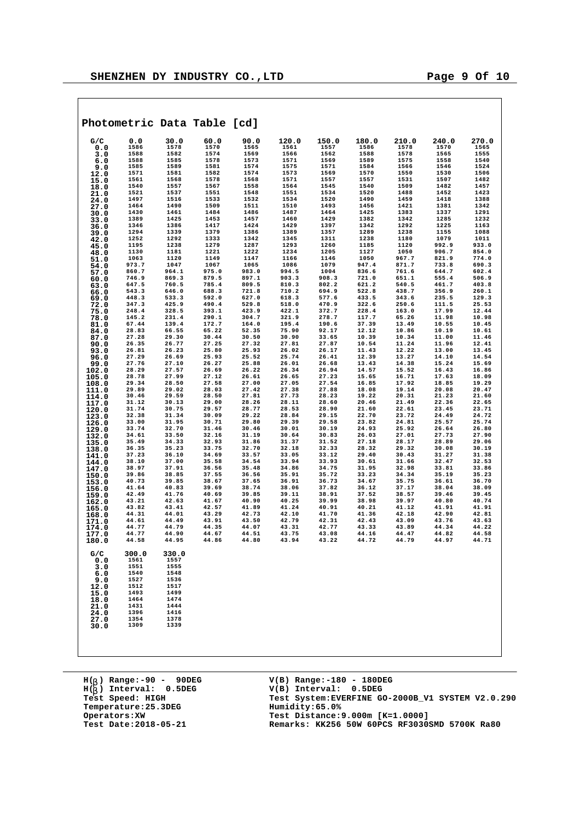|                |                |                | Photometric Data Table [cd] |                |                |                |                |                |                |                |
|----------------|----------------|----------------|-----------------------------|----------------|----------------|----------------|----------------|----------------|----------------|----------------|
| G/C            | 0.0            | 30.0           | 60.0                        | 90.0           | 120.0          | 150.0          | 180.0          | 210.0          | 240.0          | 270.0          |
| 0.0<br>3.0     | 1586<br>1588   | 1578<br>1582   | 1570<br>1574                | 1565<br>1569   | 1561<br>1566   | 1557<br>1562   | 1586<br>1588   | 1578<br>1578   | 1570<br>1565   | 1565<br>1555   |
| 6.0            | 1588           | 1585           | 1578                        | 1573           | 1571           | 1569           | 1589           | 1575           | 1558           | 1540           |
| 9.0            | 1585           | 1589           | 1581                        | 1574           | 1575           | 1571           | 1584           | 1566           | 1546           | 1524           |
| 12.0           | 1571           | 1581           | 1582                        | 1574           | 1573           | 1569           | 1570           | 1550           | 1530           | 1506           |
| 15.0           | 1561           | 1568           | 1578                        | 1568           | 1571           | 1557           | 1557           | 1531           | 1507           | 1482           |
| 18.0           | 1540           | 1557           | 1567                        | 1558           | 1564           | 1545           | 1540           | 1509           | 1482           | 1457           |
| 21.0           | 1521           | 1537           | 1551                        | 1548           | 1551           | 1534           | 1520           | 1488           | 1452           | 1423           |
| 24.0           | 1497<br>1464   | 1516<br>1490   | 1533<br>1509                | 1532<br>1511   | 1534<br>1510   | 1520<br>1493   | 1490<br>1456   | 1459<br>1421   | 1418<br>1381   | 1388<br>1342   |
| 27.0<br>30.0   | 1430           | 1461           | 1484                        | 1486           | 1487           | 1464           | 1425           | 1383           | 1337           | 1291           |
| 33.0           | 1389           | 1425           | 1453                        | 1457           | 1460           | 1429           | 1382           | 1342           | 1285           | 1232           |
| 36.0           | 1346           | 1386           | 1417                        | 1424           | 1429           | 1397           | 1342           | 1292           | 1225           | 1163           |
| 39.0           | 1294           | 1339           | 1379                        | 1386           | 1389           | 1357           | 1289           | 1238           | 1155           | 1088           |
| 42.0           | 1252           | 1292           | 1333                        | 1342           | 1345           | 1311           | 1238           | 1180           | 1079           | 1011           |
| 45.0           | 1195           | 1238           | 1279<br>1221                | 1287<br>1222   | 1293<br>1234   | 1260           | 1185<br>1127   | 1120           | 992.9<br>906.7 | 933.0<br>854.0 |
| 48.0           | 1130<br>1063   | 1181<br>1120   | 1149                        | 1147           | 1166           | 1205<br>1146   | 1050           | 1050<br>967.7  | 821.9          | 774.0          |
| 51.0<br>54.0   | 973.7          | 1047           | 1067                        | 1065           | 1086           | 1079           | 947.4          | 871.7          | 733.8          | 690.3          |
| 57.0           | 860.7          | 964.1          | 975.0                       | 983.0          | 994.5          | 1004           | 836.6          | 761.6          | 644.7          | 602.4          |
| 60.0           | 746.9          | 869.3          | 879.5                       | 897.1          | 903.3          | 908.3          | 721.0          | 651.1          | 555.4          | 506.9          |
| 63.0           | 647.5          | 760.5          | 785.4                       | 809.5          | 810.3          | 802.2          | 621.2          | 540.5          | 461.7          | 403.8          |
| 66.0           | 543.3          | 646.0          | 688.3                       | 721.8          | 710.2          | 694.9          | 522.8          | 438.7          | 356.9          | 260.1          |
| 69.0           | 448.3          | 533.3          | 592.0                       | 627.0          | 618.3          | 577.6          | 433.5          | 343.6          | 235.5          | 129.3          |
| 72.0           | 347.3<br>248.4 | 425.9<br>328.5 | 490.4<br>393.1              | 529.8<br>423.9 | 518.0<br>422.1 | 470.9<br>372.7 | 322.6<br>228.4 | 250.6<br>163.0 | 111.5<br>17.99 | 25.53<br>12.44 |
| 75.0<br>78.0   | 145.2          | 231.4          | 290.1                       | 304.7          | 321.9          | 278.7          | 117.7          | 65.26          | 11.98          | 10.98          |
| 81.0           | 67.44          | 139.4          | 172.7                       | 164.0          | 195.4          | 190.6          | 37.39          | 13.49          | 10.55          | 10.45          |
| 84.0           | 28.83          | 66.55          | 65.22                       | 52.35          | 75.90          | 92.17          | 12.12          | 10.86          | 10.19          | 10.61          |
| 87.0           | 27.28          | 29.30          | 30.44                       | 30.50          | 30.90          | 33.65          | 10.39          | 10.34          | 11.00          | 11.46          |
| 90.0           | 26.35          | 26.77          | 27.25                       | 27.32          | 27.81          | 27.87          | 10.54          | 11.24          | 11.96          | 12.41          |
| 93.0           | 26.81          | 26.23          | 25.80                       | 25.93          | 26.02          | 26.17          | 11.43          | 12.22          | 13.00          | 13.45          |
| 96.0           | 27.29<br>27.76 | 26.69<br>27.10 | 25.93<br>26.27              | 25.52<br>25.88 | 25.74<br>26.01 | 26.41<br>26.68 | 12.39<br>13.43 | 13.27<br>14.38 | 14.10<br>15.24 | 14.54<br>15.69 |
| 99.0<br>102.0  | 28.29          | 27.57          | 26.69                       | 26.22          | 26.34          | 26.94          | 14.57          | 15.52          | 16.43          | 16.86          |
| 105.0          | 28.78          | 27.99          | 27.12                       | 26.61          | 26.65          | 27.23          | 15.65          | 16.71          | 17.63          | 18.09          |
| 108.0          | 29.34          | 28.50          | 27.58                       | 27.00          | 27.05          | 27.54          | 16.85          | 17.92          | 18.85          | 19.29          |
| 111.0          | 29.89          | 29.02          | 28.03                       | 27.42          | 27.38          | 27.88          | 18.08          | 19.14          | 20.08          | 20.47          |
| 114.0          | 30.46          | 29.59          | 28.50                       | 27.81          | 27.73          | 28.23          | 19.22          | 20.31          | 21.23          | 21.60          |
| 117.0          | 31.12          | 30.13          | 29.00<br>29.57              | 28.26          | 28.11          | 28.60          | 20.46          | 21.49          | 22.36          | 22.65          |
| 120.0          | 31.74<br>32.38 | 30.75<br>31.34 | 30.09                       | 28.77<br>29.22 | 28.53<br>28.84 | 28.90<br>29.15 | 21.60<br>22.70 | 22.61<br>23.72 | 23.45<br>24.49 | 23.71<br>24.72 |
| 123.0<br>126.0 | 33.00          | 31.95          | 30.71                       | 29.80          | 29.39          | 29.58          | 23.82          | 24.81          | 25.57          | 25.74          |
| 129.0          | 33.74          | 32.70          | 31.46                       | 30.46          | 30.01          | 30.19          | 24.93          | 25.92          | 26.64          | 26.80          |
| 132.0          | 34.61          | 33.50          | 32.16                       | 31.19          | 30.64          | 30.83          | 26.03          | 27.01          | 27.73          | 27.90          |
| 135.0          | 35.49          | 34.33          | 32.93                       | 31.86          | 31.37          | 31.52          | 27.18          | 28.17          | 28.89          | 29.06          |
| 138.0          | 36.35          | 35.23          | 33.75                       | 32.70          | 32.18          | 32.33          | 28.32          | 29.32          | 30.08          | 30.19          |
| 141.0          | 37.23          | 36.10          | 34.69                       | 33.57          | 33.05          | 33.12          | 29.40          | 30.43          | 31.27          | 31.38          |
| 144.0          | 38.10<br>38.97 | 37.00<br>37.91 | 35.58<br>36.56              | 34.54<br>35.48 | 33.94<br>34.86 | 33.93<br>34.75 | 30.61<br>31.95 | 31.66<br>32.98 | 32.47<br>33.81 | 32.53<br>33.86 |
| 147.0<br>150.0 | 39.86          | 38.85          | 37.55                       | 36.56          | 35.91          | 35.72          | 33.23          | 34.34          | 35.19          | 35.23          |
| 153.0          | 40.73          | 39.85          | 38.67                       | 37.65          | 36.91          | 36.73          | 34.67          | 35.75          | 36.61          | 36.70          |
| 156.0          | 41.64          | 40.83          | 39.69                       | 38.74          | 38.06          | 37.82          | 36.12          | 37.17          | 38.04          | 38.09          |
| 159.0          | 42.49          | 41.76          | 40.69                       | 39.85          | 39.11          | 38.91          | 37.52          | 38.57          | 39.46          | 39.45          |
| 162.0          | 43.21          | 42.63          | 41.67                       | 40.90          | 40.25          | 39.99          | 38.98          | 39.97          | 40.80          | 40.74          |
| 165.0          | 43.82          | 43.41          | 42.57                       | 41.89          | 41.24          | 40.91<br>41.70 | 40.21          | 41.12          | 41.91          | 41.91          |
| 168.0          | 44.31<br>44.61 | 44.01<br>44.49 | 43.29<br>43.91              | 42.73<br>43.50 | 42.10<br>42.79 | 42.31          | 41.36<br>42.43 | 42.18<br>43.09 | 42.90<br>43.76 | 42.81<br>43.63 |
| 171.0<br>174.0 | 44.77          | 44.79          | 44.35                       | 44.07          | 43.31          | 42.77          | 43.33          | 43.89          | 44.34          | 44.22          |
| 177.0          | 44.77          | 44.90          | 44.67                       | 44.51          | 43.75          | 43.08          | 44.16          | 44.47          | 44.82          | 44.58          |
| 180.0          | 44.58          | 44.95          | 44.86                       | 44.80          | 43.94          | 43.22          | 44.72          | 44.79          | 44.97          | 44.71          |
|                |                |                |                             |                |                |                |                |                |                |                |
| G/C            | 300.0          | 330.0          |                             |                |                |                |                |                |                |                |
| 0.0            | 1561           | 1557           |                             |                |                |                |                |                |                |                |
| 3.0            | 1551<br>1540   | 1555<br>1548   |                             |                |                |                |                |                |                |                |
| 6.0<br>9.0     | 1527           | 1536           |                             |                |                |                |                |                |                |                |
| 12.0           | 1512           | 1517           |                             |                |                |                |                |                |                |                |
| 15.0           | 1493           | 1499           |                             |                |                |                |                |                |                |                |
| 18.0           | 1464           | 1474           |                             |                |                |                |                |                |                |                |
| 21.0           | 1431           | 1444           |                             |                |                |                |                |                |                |                |
| 24.0           | 1396           | 1416           |                             |                |                |                |                |                |                |                |
| 27.0           | 1354           | 1378           |                             |                |                |                |                |                |                |                |
| 30.0           | 1309           | 1339           |                             |                |                |                |                |                |                |                |
|                |                |                |                             |                |                |                |                |                |                |                |

**H( ) Range:-90 - 90DEG** H(<sub>b</sub>) Range:-90 - 90DE<br>H(<sub>b</sub>) Interval: 0.5DEG **b Temperature: 25.3DEG**<br> **Operators: XW**